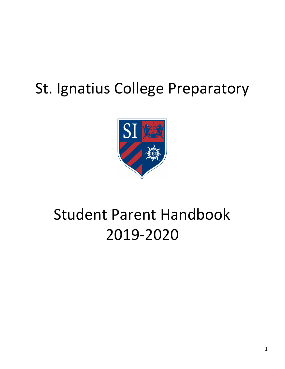# St. Ignatius College Preparatory



# Student Parent Handbook 2019-2020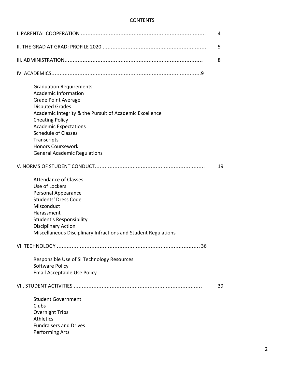# CONTENTS

| 4                                                                                                                                                                                                                                                                                                                                                          |    |
|------------------------------------------------------------------------------------------------------------------------------------------------------------------------------------------------------------------------------------------------------------------------------------------------------------------------------------------------------------|----|
| 5                                                                                                                                                                                                                                                                                                                                                          |    |
| 8                                                                                                                                                                                                                                                                                                                                                          |    |
|                                                                                                                                                                                                                                                                                                                                                            |    |
| <b>Graduation Requirements</b><br><b>Academic Information</b><br><b>Grade Point Average</b><br><b>Disputed Grades</b><br>Academic Integrity & the Pursuit of Academic Excellence<br><b>Cheating Policy</b><br><b>Academic Expectations</b><br><b>Schedule of Classes</b><br>Transcripts<br><b>Honors Coursework</b><br><b>General Academic Regulations</b> |    |
|                                                                                                                                                                                                                                                                                                                                                            | 19 |
| <b>Attendance of Classes</b><br>Use of Lockers<br>Personal Appearance<br><b>Students' Dress Code</b><br>Misconduct<br>Harassment<br><b>Student's Responsibility</b><br><b>Disciplinary Action</b><br>Miscellaneous Disciplinary Infractions and Student Regulations                                                                                        |    |
|                                                                                                                                                                                                                                                                                                                                                            |    |
| Responsible Use of SI Technology Resources<br>Software Policy<br>Email Acceptable Use Policy                                                                                                                                                                                                                                                               |    |
|                                                                                                                                                                                                                                                                                                                                                            | 39 |
| <b>Student Government</b><br>Clubs<br>Overnight Trips<br><b>Athletics</b><br><b>Fundraisers and Drives</b><br>Performing Arts                                                                                                                                                                                                                              |    |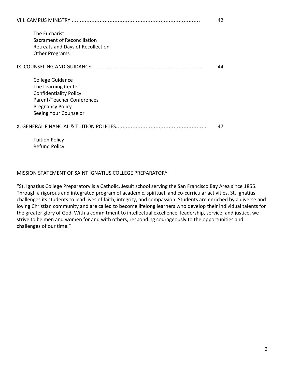|                                                                                                                                                            | 42 |
|------------------------------------------------------------------------------------------------------------------------------------------------------------|----|
| The Eucharist<br>Sacrament of Reconciliation<br>Retreats and Days of Recollection<br><b>Other Programs</b>                                                 |    |
| IX. COUNSELING AND GUIDANCE                                                                                                                                | 44 |
| College Guidance<br>The Learning Center<br><b>Confidentiality Policy</b><br>Parent/Teacher Conferences<br><b>Pregnancy Policy</b><br>Seeing Your Counselor |    |
| X. GENERAL FINANCIAL & TUITION POLICIES                                                                                                                    | 47 |
| <b>Tuition Policy</b>                                                                                                                                      |    |

Refund Policy

# MISSION STATEMENT OF SAINT IGNATIUS COLLEGE PREPARATORY

"St. Ignatius College Preparatory is a Catholic, Jesuit school serving the San Francisco Bay Area since 1855. Through a rigorous and integrated program of academic, spiritual, and co-curricular activities, St. Ignatius challenges its students to lead lives of faith, integrity, and compassion. Students are enriched by a diverse and loving Christian community and are called to become lifelong learners who develop their individual talents for the greater glory of God. With a commitment to intellectual excellence, leadership, service, and justice, we strive to be men and women for and with others, responding courageously to the opportunities and challenges of our time."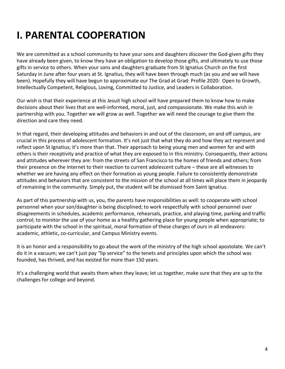# **I. PARENTAL COOPERATION**

We are committed as a school community to have your sons and daughters discover the God-given gifts they have already been given, to know they have an obligation to develop those gifts, and ultimately to use those gifts in service to others. When your sons and daughters graduate from St Ignatius Church on the first Saturday in June after four years at St. Ignatius, they will have been through much (as you and we will have been). Hopefully they will have begun to approximate our The Grad at Grad: Profile 2020: Open to Growth, Intellectually Competent, Religious, Loving, Committed to Justice, and Leaders in Collaboration.

Our wish is that their experience at this Jesuit high school will have prepared them to know how to make decisions about their lives that are well-informed, moral, just, and compassionate. We make this wish in partnership with you. Together we will grow as well. Together we will need the courage to give them the direction and care they need.

In that regard, their developing attitudes and behaviors in and out of the classroom, on and off campus, are crucial in this process of adolescent formation. It's not just that what they do and how they act represent and reflect upon St Ignatius; it's more than that. Their approach to being young men and women for and with others is their receptivity and practice of what they are exposed to in this ministry. Consequently, their actions and attitudes wherever they are: from the streets of San Francisco to the homes of friends and others; from their presence on the Internet to their reaction to current adolescent culture – these are all witnesses to whether we are having any effect on their formation as young people. Failure to consistently demonstrate attitudes and behaviors that are consistent to the mission of the school at all times will place them in jeopardy of remaining in the community. Simply put, the student will be dismissed from Saint Ignatius.

As part of this partnership with us, you, the parents have responsibilities as well: to cooperate with school personnel when your son/daughter is being disciplined; to work respectfully with school personnel over disagreements in schedules, academic performance, rehearsals, practice, and playing time, parking and traffic control; to monitor the use of your home as a healthy gathering place for young people when appropriate; to participate with the school in the spiritual, moral formation of these charges of ours in all endeavors: academic, athletic, co-curricular, and Campus Ministry events.

It is an honor and a responsibility to go about the work of the ministry of the high school apostolate. We can't do it in a vacuum; we can't just pay "lip service" to the tenets and principles upon which the school was founded, has thrived, and has existed for more than 150 years.

It's a challenging world that awaits them when they leave; let us together, make sure that they are up to the challenges for college and beyond.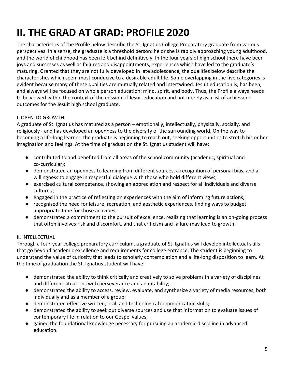# **II. THE GRAD AT GRAD: PROFILE 2020**

The characteristics of the Profile below describe the St. Ignatius College Preparatory graduate from various perspectives. In a sense, the graduate is a threshold person: he or she is rapidly approaching young adulthood, and the world of childhood has been left behind definitively. In the four years of high school there have been joys and successes as well as failures and disappointments, experiences which have led to the graduate's maturing. Granted that they are not fully developed in late adolescence, the qualities below describe the characteristics which seem most conducive to a desirable adult life. Some overlapping in the five categories is evident because many of these qualities are mutually related and intertwined. Jesuit education is, has been, and always will be focused on whole person education: mind, spirit, and body. Thus, the Profile always needs to be viewed within the context of the mission of Jesuit education and not merely as a list of achievable outcomes for the Jesuit high school graduate.

# I. OPEN TO GROWTH

A graduate of St. Ignatius has matured as a person – emotionally, intellectually, physically, socially, and religiously - and has developed an openness to the diversity of the surrounding world. On the way to becoming a life-long learner, the graduate is beginning to reach out, seeking opportunities to stretch his or her imagination and feelings. At the time of graduation the St. Ignatius student will have:

- contributed to and benefited from all areas of the school community (academic, spiritual and co-curricular);
- demonstrated an openness to learning from different sources, a recognition of personal bias, and a willingness to engage in respectful dialogue with those who hold different views;
- exercised cultural competence, showing an appreciation and respect for all individuals and diverse cultures ;
- engaged in the practice of reflecting on experiences with the aim of informing future actions;
- recognized the need for leisure, recreation, and aesthetic experiences, finding ways to budget appropriate time for those activities;
- demonstrated a commitment to the pursuit of excellence, realizing that learning is an on-going process that often involves risk and discomfort, and that criticism and failure may lead to growth.

# II. INTELLECTUAL

Through a four-year college preparatory curriculum, a graduate of St. Ignatius will develop intellectual skills that go beyond academic excellence and requirements for college entrance. The student is beginning to understand the value of curiosity that leads to scholarly contemplation and a life-long disposition to learn. At the time of graduation the St. Ignatius student will have:

- demonstrated the ability to think critically and creatively to solve problems in a variety of disciplines and different situations with perseverance and adaptability;
- demonstrated the ability to access, review, evaluate, and synthesize a variety of media resources, both individually and as a member of a group;
- demonstrated effective written, oral, and technological communication skills;
- demonstrated the ability to seek out diverse sources and use that information to evaluate issues of contemporary life in relation to our Gospel values;
- gained the foundational knowledge necessary for pursuing an academic discipline in advanced education.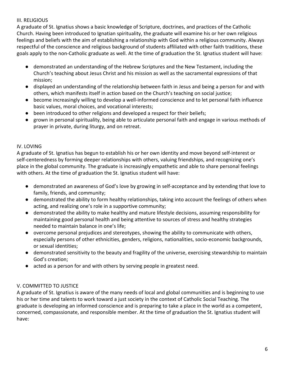# III. RELIGIOUS

A graduate of St. Ignatius shows a basic knowledge of Scripture, doctrines, and practices of the Catholic Church. Having been introduced to Ignatian spirituality, the graduate will examine his or her own religious feelings and beliefs with the aim of establishing a relationship with God within a religious community. Always respectful of the conscience and religious background of students affiliated with other faith traditions, these goals apply to the non-Catholic graduate as well. At the time of graduation the St. Ignatius student will have:

- demonstrated an understanding of the Hebrew Scriptures and the New Testament, including the Church's teaching about Jesus Christ and his mission as well as the sacramental expressions of that mission;
- displayed an understanding of the relationship between faith in Jesus and being a person for and with others, which manifests itself in action based on the Church's teaching on social justice;
- become increasingly willing to develop a well-informed conscience and to let personal faith influence basic values, moral choices, and vocational interests;
- been introduced to other religions and developed a respect for their beliefs;
- grown in personal spirituality, being able to articulate personal faith and engage in various methods of prayer in private, during liturgy, and on retreat.

# IV. LOVING

A graduate of St. Ignatius has begun to establish his or her own identity and move beyond self-interest or self-centeredness by forming deeper relationships with others, valuing friendships, and recognizing one's place in the global community. The graduate is increasingly empathetic and able to share personal feelings with others. At the time of graduation the St. Ignatius student will have:

- demonstrated an awareness of God's love by growing in self-acceptance and by extending that love to family, friends, and community;
- demonstrated the ability to form healthy relationships, taking into account the feelings of others when acting, and realizing one's role in a supportive community;
- demonstrated the ability to make healthy and mature lifestyle decisions, assuming responsibility for maintaining good personal health and being attentive to sources of stress and healthy strategies needed to maintain balance in one's life;
- overcome personal prejudices and stereotypes, showing the ability to communicate with others, especially persons of other ethnicities, genders, religions, nationalities, socio-economic backgrounds, or sexual identities;
- demonstrated sensitivity to the beauty and fragility of the universe, exercising stewardship to maintain God's creation;
- acted as a person for and with others by serving people in greatest need.

# V. COMMITTED TO JUSTICE

A graduate of St. Ignatius is aware of the many needs of local and global communities and is beginning to use his or her time and talents to work toward a just society in the context of Catholic Social Teaching. The graduate is developing an informed conscience and is preparing to take a place in the world as a competent, concerned, compassionate, and responsible member. At the time of graduation the St. Ignatius student will have: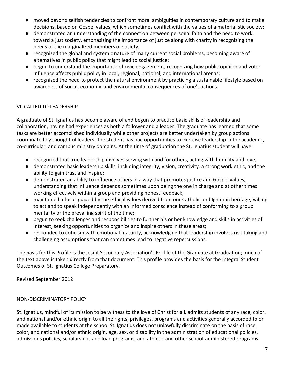- moved beyond selfish tendencies to confront moral ambiguities in contemporary culture and to make decisions, based on Gospel values, which sometimes conflict with the values of a materialistic society;
- demonstrated an understanding of the connection between personal faith and the need to work toward a just society, emphasizing the importance of justice along with charity in recognizing the needs of the marginalized members of society;
- recognized the global and systemic nature of many current social problems, becoming aware of alternatives in public policy that might lead to social justice;
- begun to understand the importance of civic engagement, recognizing how public opinion and voter influence affects public policy in local, regional, national, and international arenas;
- recognized the need to protect the natural environment by practicing a sustainable lifestyle based on awareness of social, economic and environmental consequences of one's actions.

# VI. CALLED TO LEADERSHIP

A graduate of St. Ignatius has become aware of and begun to practice basic skills of leadership and collaboration, having had experiences as both a follower and a leader. The graduate has learned that some tasks are better accomplished individually while other projects are better undertaken by group actions coordinated by thoughtful leaders. The student has had opportunities to exercise leadership in the academic, co-curricular, and campus ministry domains. At the time of graduation the St. Ignatius student will have:

- recognized that true leadership involves serving with and for others, acting with humility and love;
- demonstrated basic leadership skills, including integrity, vision, creativity, a strong work ethic, and the ability to gain trust and inspire;
- demonstrated an ability to influence others in a way that promotes justice and Gospel values, understanding that influence depends sometimes upon being the one in charge and at other times working effectively within a group and providing honest feedback;
- maintained a focus guided by the ethical values derived from our Catholic and Ignatian heritage, willing to act and to speak independently with an informed conscience instead of conforming to a group mentality or the prevailing spirit of the time;
- begun to seek challenges and responsibilities to further his or her knowledge and skills in activities of interest, seeking opportunities to organize and inspire others in these areas;
- responded to criticism with emotional maturity, acknowledging that leadership involves risk-taking and challenging assumptions that can sometimes lead to negative repercussions.

The basis for this Profile is the Jesuit Secondary Association's Profile of the Graduate at Graduation; much of the text above is taken directly from that document. This profile provides the basis for the Integral Student Outcomes of St. Ignatius College Preparatory.

Revised September 2012

# NON-DISCRIMINATORY POLICY

St. Ignatius, mindful of its mission to be witness to the love of Christ for all, admits students of any race, color, and national and/or ethnic origin to all the rights, privileges, programs and activities generally accorded to or made available to students at the school St. Ignatius does not unlawfully discriminate on the basis of race, color, and national and/or ethnic origin, age, sex, or disability in the administration of educational policies, admissions policies, scholarships and loan programs, and athletic and other school-administered programs.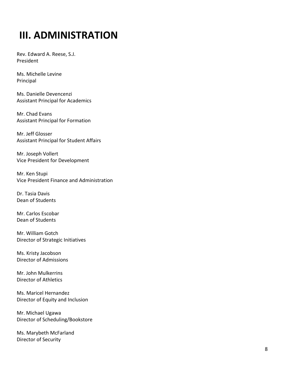# **III. ADMINISTRATION**

Rev. Edward A. Reese, S.J. President

Ms. Michelle Levine Principal

Ms. Danielle Devencenzi Assistant Principal for Academics

Mr. Chad Evans Assistant Principal for Formation

Mr. Jeff Glosser Assistant Principal for Student Affairs

Mr. Joseph Vollert Vice President for Development

Mr. Ken Stupi Vice President Finance and Administration

Dr. Tasia Davis Dean of Students

Mr. Carlos Escobar Dean of Students

Mr. William Gotch Director of Strategic Initiatives

Ms. Kristy Jacobson Director of Admissions

Mr. John Mulkerrins Director of Athletics

Ms. Maricel Hernandez Director of Equity and Inclusion

Mr. Michael Ugawa Director of Scheduling/Bookstore

Ms. Marybeth McFarland Director of Security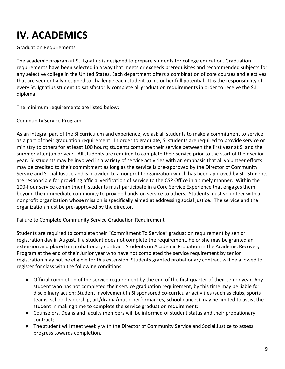# **IV. ACADEMICS**

Graduation Requirements

The academic program at St. Ignatius is designed to prepare students for college education. Graduation requirements have been selected in a way that meets or exceeds prerequisites and recommended subjects for any selective college in the United States. Each department offers a combination of core courses and electives that are sequentially designed to challenge each student to his or her full potential. It is the responsibility of every St. Ignatius student to satisfactorily complete all graduation requirements in order to receive the S.I. diploma.

The minimum requirements are listed below:

Community Service Program

As an integral part of the SI curriculum and experience, we ask all students to make a commitment to service as a part of their graduation requirement. In order to graduate, SI students are required to provide service or ministry to others for at least 100 hours; students complete their service between the first year at SI and the summer after junior year. All students are required to complete their service prior to the start of their senior year. SI students may be involved in a variety of service activities with an emphasis that all volunteer efforts may be credited to their commitment as long as the service is pre-approved by the Director of Community Service and Social Justice and is provided to a nonprofit organization which has been approved by SI. Students are responsible for providing official verification of service to the CSP Office in a timely manner. Within the 100-hour service commitment, students must participate in a Core Service Experience that engages them beyond their immediate community to provide hands-on service to others. Students must volunteer with a nonprofit organization whose mission is specifically aimed at addressing social justice. The service and the organization must be pre-approved by the director.

Failure to Complete Community Service Graduation Requirement

Students are required to complete their "Commitment To Service" graduation requirement by senior registration day in August. If a student does not complete the requirement, he or she may be granted an extension and placed on probationary contract. Students on Academic Probation in the Academic Recovery Program at the end of their Junior year who have not completed the service requirement by senior registration may not be eligible for this extension. Students granted probationary contract will be allowed to register for class with the following conditions:

- Official completion of the service requirement by the end of the first quarter of their senior year. Any student who has not completed their service graduation requirement, by this time may be liable for disciplinary action; Student involvement in SI sponsored co-curricular activities (such as clubs, sports teams, school leadership, art/drama/music performances, school dances) may be limited to assist the student in making time to complete the service graduation requirement;
- Counselors, Deans and faculty members will be informed of student status and their probationary contract;
- The student will meet weekly with the Director of Community Service and Social Justice to assess progress towards completion.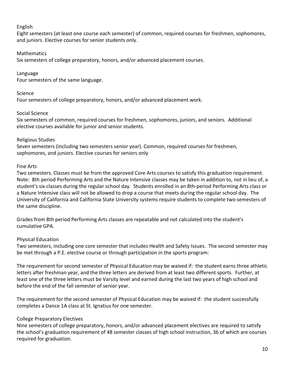# English

Eight semesters (at least one course each semester) of common, required courses for freshmen, sophomores, and juniors. Elective courses for senior students only.

# Mathematics

Six semesters of college preparatory, honors, and/or advanced placement courses.

# Language

Four semesters of the same language.

#### Science

Four semesters of college preparatory, honors, and/or advanced placement work.

#### Social Science

Six semesters of common, required courses for freshmen, sophomores, juniors, and seniors. Additional elective courses available for junior and senior students.

#### Religious Studies

Seven semesters (including two semesters senior year). Common, required courses for freshmen, sophomores, and juniors. Elective courses for seniors only

#### Fine Arts

Two semesters. Classes must be from the approved Core Arts courses to satisfy this graduation requirement. Note: 8th period Performing Arts and the Nature Intensive classes may be taken in addition to, not in lieu of, a student's six classes during the regular school day. Students enrolled in an 8th-period Performing Arts class or a Nature Intensive class will not be allowed to drop a course that meets during the regular school day. The University of California and California State University systems require students to complete two semesters of the same discipline.

Grades from 8th period Performing Arts classes are repeatable and not calculated into the student's cumulative GPA.

# Physical Education

Two semesters, including one core semester that includes Health and Safety Issues. The second semester may be met through a P.E. elective course or through participation in the sports program:

The requirement for second semester of Physical Education may be waived if: the student earns three athletic letters after freshman year, and the three letters are derived from at least two different sports. Further, at least one of the three letters must be Varsity level and earned during the last two years of high school and before the end of the fall semester of senior year.

The requirement for the second semester of Physical Education may be waived if: the student successfully completes a Dance 1A class at St. Ignatius for one semester.

# College Preparatory Electives

Nine semesters of college preparatory, honors, and/or advanced placement electives are required to satisfy the school's graduation requirement of 48 semester classes of high school instruction, 36 of which are courses required for graduation.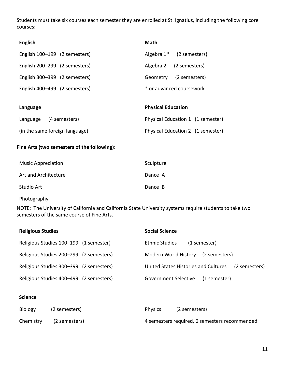Students must take six courses each semester they are enrolled at St. Ignatius, including the following core courses:

| <b>English</b>                | <b>Math</b>                          |  |  |
|-------------------------------|--------------------------------------|--|--|
| English 100-199 (2 semesters) | Algebra 1 <sup>*</sup> (2 semesters) |  |  |
| English 200-299 (2 semesters) | Algebra 2 (2 semesters)              |  |  |
| English 300-399 (2 semesters) | Geometry (2 semesters)               |  |  |
| English 400-499 (2 semesters) | * or advanced coursework             |  |  |
|                               |                                      |  |  |
| Language                      | <b>Physical Education</b>            |  |  |
| Language (4 semesters)        | Physical Education 1 (1 semester)    |  |  |

(in the same foreign language) Physical Education 2 (1 semester)

#### **Fine Arts (two semesters of the following):**

| <b>Music Appreciation</b> | Sculpture |
|---------------------------|-----------|
| Art and Architecture      | Dance IA  |
| Studio Art                | Dance IB  |

Photography

NOTE: The University of California and California State University systems require students to take two semesters of the same course of Fine Arts.

| <b>Religious Studies</b>                | <b>Social Science</b>                                 |
|-----------------------------------------|-------------------------------------------------------|
| Religious Studies 100-199 (1 semester)  | <b>Ethnic Studies</b><br>(1 semester)                 |
| Religious Studies 200-299 (2 semesters) | Modern World History<br>(2 semesters)                 |
| Religious Studies 300-399 (2 semesters) | United States Histories and Cultures<br>(2 semesters) |
| Religious Studies 400-499 (2 semesters) | <b>Government Selective</b><br>(1 semester)           |

#### **Science**

| <b>Biology</b> | (2 semesters) | <b>Physics</b>                                | (2 semesters) |
|----------------|---------------|-----------------------------------------------|---------------|
| Chemistry      | (2 semesters) | 4 semesters required, 6 semesters recommended |               |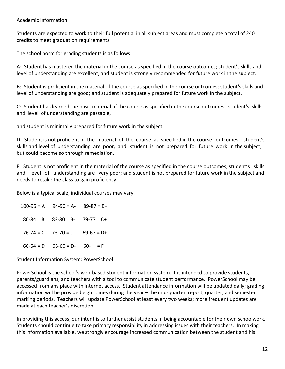#### Academic Information

Students are expected to work to their full potential in all subject areas and must complete a total of 240 credits to meet graduation requirements

The school norm for grading students is as follows:

A: Student has mastered the material in the course as specified in the course outcomes; student's skills and level of understanding are excellent; and student is strongly recommended for future work in the subject.

B: Student is proficient in the material of the course as specified in the course outcomes; student's skills and level of understanding are good; and student is adequately prepared for future work in the subject.

C: Student has learned the basic material of the course as specified in the course outcomes; student's skills and level of understanding are passable,

and student is minimally prepared for future work in the subject.

D: Student is not proficient in the material of the course as specified in the course outcomes; student's skills and level of understanding are poor, and student is not prepared for future work in the subject, but could become so through remediation.

F: Student is not proficient in the material of the course as specified in the course outcomes; student's skills and level of understanding are very poor; and student is not prepared for future work in the subject and needs to retake the class to gain proficiency.

Below is a typical scale; individual courses may vary.

 $100-95 = A$  94-90 = A- 89-87 = B+  $86-84 = B$   $83-80 = B$ -  $79-77 = C+$  $76-74 = C$   $73-70 = C$ -  $69-67 = D+$  $66-64 = D$   $63-60 = D$ -  $60-$  = F

Student Information System: PowerSchool

PowerSchool is the school's web-based student information system. It is intended to provide students, parents/guardians, and teachers with a tool to communicate student performance. PowerSchool may be accessed from any place with Internet access. Student attendance information will be updated daily; grading information will be provided eight times during the year – the mid-quarter report, quarter, and semester marking periods. Teachers will update PowerSchool at least every two weeks; more frequent updates are made at each teacher's discretion.

In providing this access, our intent is to further assist students in being accountable for their own schoolwork. Students should continue to take primary responsibility in addressing issues with their teachers. In making this information available, we strongly encourage increased communication between the student and his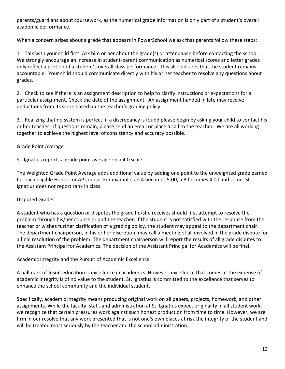parents/guardians about coursework, as the numerical grade information is only part of a student's overall academic performance.

When a concern arises about a grade that appears in PowerSchool we ask that parents follow these steps:

1. Talk with your child first. Ask him or her about the grade(s) or attendance before contacting the school. We strongly encourage an increase in student-parent communication as numerical scores and letter grades only reflect a portion of a student's overall class performance. This also ensures that the student remains accountable. Your child should communicate directly with his or her teacher to resolve any questions about grades.

2. Check to see if there is an assignment description to help to clarify instructions or expectations for a particular assignment. Check the date of the assignment. An assignment handed in late may receive deductions from its score based on the teacher's grading policy.

3. Realizing that no system is perfect, if a discrepancy is found please begin by asking your child to contact his or her teacher. If questions remain, please send an email or place a call to the teacher. We are all working together to achieve the highest level of consistency and accuracy possible.

# Grade Point Average

St. Ignatius reports a grade point average on a 4.0 scale.

The Weighted Grade Point Average adds additional value by adding one point to the unweighted grade earned for each eligible Honors or AP course. For example, an A becomes 5.00, a B becomes 4.00 and so on. St. Ignatius does not report rank in class.

# Disputed Grades

A student who has a question or disputes the grade he/she receives should first attempt to resolve the problem through his/her counselor and the teacher. If the student is not satisfied with the response from the teacher or wishes further clarification of a grading policy, the student may appeal to the department chair. The department chairperson, in his or her discretion, may call a meeting of all involved in the grade dispute for a final resolution of the problem. The department chairperson will report the results of all grade disputes to the Assistant Principal for Academics. The decision of the Assistant Principal for Academics will be final.

# Academic Integrity and the Pursuit of Academic Excellence

A hallmark of Jesuit education is excellence in academics. However, excellence that comes at the expense of academic integrity is of no value to the student. St. Ignatius is committed to the excellence that serves to enhance the school community and the individual student.

Specifically, academic integrity means producing original work on all papers, projects, homework, and other assignments. While the faculty, staff, and administration at St. Ignatius expect originality in all student work, we recognize that certain pressures work against such honest production from time to time. However, we are firm in our resolve that any work presented that is not one's own places at risk the integrity of the student and will be treated most seriously by the teacher and the school administration.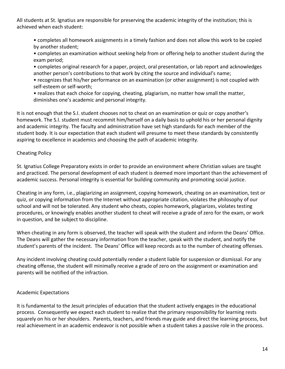All students at St. Ignatius are responsible for preserving the academic integrity of the institution; this is achieved when each student:

• completes all homework assignments in a timely fashion and does not allow this work to be copied by another student;

• completes an examination without seeking help from or offering help to another student during the exam period;

• completes original research for a paper, project, oral presentation, or lab report and acknowledges another person's contributions to that work by citing the source and individual's name;

• recognizes that his/her performance on an examination (or other assignment) is not coupled with self-esteem or self-worth;

• realizes that each choice for copying, cheating, plagiarism, no matter how small the matter, diminishes one's academic and personal integrity.

It is not enough that the S.I. student chooses not to cheat on an examination or quiz or copy another's homework. The S.I. student must recommit him/herself on a daily basis to uphold his or her personal dignity and academic integrity. The faculty and administration have set high standards for each member of the student body. It is our expectation that each student will presume to meet these standards by consistently aspiring to excellence in academics and choosing the path of academic integrity.

# Cheating Policy

St. Ignatius College Preparatory exists in order to provide an environment where Christian values are taught and practiced. The personal development of each student is deemed more important than the achievement of academic success. Personal integrity is essential for building community and promoting social justice.

Cheating in any form, i.e., plagiarizing an assignment, copying homework, cheating on an examination, test or quiz, or copying information from the Internet without appropriate citation, violates the philosophy of our school and will not be tolerated. Any student who cheats, copies homework, plagiarizes, violates testing procedures, or knowingly enables another student to cheat will receive a grade of zero for the exam, or work in question, and be subject to discipline.

When cheating in any form is observed, the teacher will speak with the student and inform the Deans' Office. The Deans will gather the necessary information from the teacher, speak with the student, and notify the student's parents of the incident. The Deans' Office will keep records as to the number of cheating offenses.

Any incident involving cheating could potentially render a student liable for suspension or dismissal. For any cheating offense, the student will minimally receive a grade of zero on the assignment or examination and parents will be notified of the infraction.

# Academic Expectations

It is fundamental to the Jesuit principles of education that the student actively engages in the educational process. Consequently we expect each student to realize that the primary responsibility for learning rests squarely on his or her shoulders. Parents, teachers, and friends may guide and direct the learning process, but real achievement in an academic endeavor is not possible when a student takes a passive role in the process.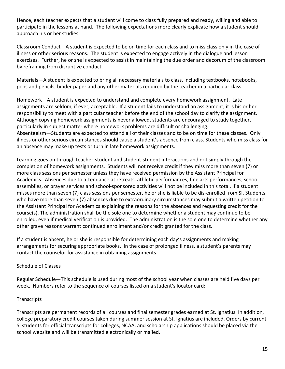Hence, each teacher expects that a student will come to class fully prepared and ready, willing and able to participate in the lessons at hand. The following expectations more clearly explicate how a student should approach his or her studies:

Classroom Conduct—A student is expected to be on time for each class and to miss class only in the case of illness or other serious reasons. The student is expected to engage actively in the dialogue and lesson exercises. Further, he or she is expected to assist in maintaining the due order and decorum of the classroom by refraining from disruptive conduct.

Materials—A student is expected to bring all necessary materials to class, including textbooks, notebooks, pens and pencils, binder paper and any other materials required by the teacher in a particular class.

Homework—A student is expected to understand and complete every homework assignment. Late assignments are seldom, if ever, acceptable. If a student fails to understand an assignment, it is his or her responsibility to meet with a particular teacher before the end of the school day to clarify the assignment. Although copying homework assignments is never allowed, students are encouraged to study together, particularly in subject matter where homework problems are difficult or challenging. Absenteeism—Students are expected to attend all of their classes and to be on time for these classes. Only illness or other serious circumstances should cause a student's absence from class. Students who miss class for an absence may make up tests or turn in late homework assignments.

Learning goes on through teacher-student and student-student interactions and not simply through the completion of homework assignments. Students will not receive credit if they miss more than seven (7) or more class sessions per semester unless they have received permission by the Assistant Principal for Academics. Absences due to attendance at retreats, athletic performances, fine arts performances, school assemblies, or prayer services and school-sponsored activities will not be included in this total. If a student misses more than seven (7) class sessions per semester, he or she is liable to be dis-enrolled from SI. Students who have more than seven (7) absences due to extraordinary circumstances may submit a written petition to the Assistant Principal for Academics explaining the reasons for the absences and requesting credit for the course(s). The administration shall be the sole one to determine whether a student may continue to be enrolled, even if medical verification is provided. The administration is the sole one to determine whether any other grave reasons warrant continued enrollment and/or credit granted for the class.

If a student is absent, he or she is responsible for determining each day's assignments and making arrangements for securing appropriate books. In the case of prolonged illness, a student's parents may contact the counselor for assistance in obtaining assignments.

# Schedule of Classes

Regular Schedule—This schedule is used during most of the school year when classes are held five days per week. Numbers refer to the sequence of courses listed on a student's locator card:

# **Transcripts**

Transcripts are permanent records of all courses and final semester grades earned at St. Ignatius. In addition, college preparatory credit courses taken during summer session at St. Ignatius are included. Orders by current SI students for official transcripts for colleges, NCAA, and scholarship applications should be placed via the school website and will be transmitted electronically or mailed.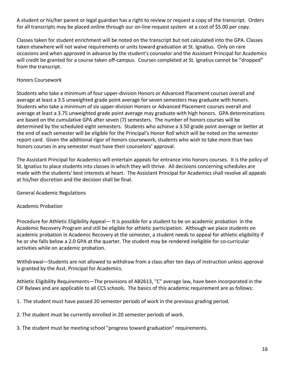A student or his/her parent or legal guardian has a right to review or request a copy of the transcript. Orders for all transcripts may be placed online through our on-line request system at a cost of \$5.00 per copy.

Classes taken for student enrichment will be noted on the transcript but not calculated into the GPA. Classes taken elsewhere will not waive requirements or units toward graduation at St. Ignatius. Only on rare occasions and when approved in advance by the student's counselor and the Assistant Principal for Academics will credit be granted for a course taken off-campus. Courses completed at St. Ignatius cannot be "dropped" from the transcript.

# Honors Coursework

Students who take a minimum of four upper-division Honors or Advanced Placement courses overall and average at least a 3.5 unweighted grade point average for seven semesters may graduate with honors. Students who take a minimum of six upper-division Honors or Advanced Placement courses overall and average at least a 3.75 unweighted grade point average may graduate with high honors. GPA determinations are based on the cumulative GPA after seven (7) semesters. The number of honors courses will be determined by the scheduled eight semesters. Students who achieve a 3.50 grade point average or better at the end of each semester will be eligible for the Principal's Honor Roll which will be noted on the semester report card. Given the additional rigor of honors coursework, students who wish to take more than two honors courses in any semester must have their counselors' approval.

The Assistant Principal for Academics will entertain appeals for entrance into honors courses. It is the policy of St. Ignatius to place students into classes in which they will thrive. All decisions concerning schedules are made with the students' best interests at heart. The Assistant Principal for Academics shall resolve all appeals at his/her discretion and the decision shall be final.

# General Academic Regulations

# Academic Probation

Procedure for Athletic Eligibility Appeal— It is possible for a student to be on academic probation in the Academic Recovery Program and still be eligible for athletic participation. Although we place students on academic probation in Academic Recovery at the semester, a student needs to appeal for athletic eligibility if he or she falls below a 2.0 GPA at the quarter. The student may be rendered ineligible for co-curricular activities while on academic probation.

Withdrawal—Students are not allowed to withdraw from a class after ten days of instruction unless approval is granted by the Asst. Principal for Academics.

Athletic Eligibility Requirements—The provisions of AB2613, "C" average law, have been incorporated in the CIF Bylaws and are applicable to all CCS schools. The basics of this academic requirement are as follows:

1. The student must have passed 20 semester periods of work in the previous grading period.

2. The student must be currently enrolled in 20 semester periods of work.

3. The student must be meeting school "progress toward graduation" requirements.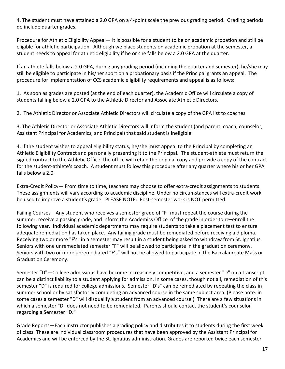4. The student must have attained a 2.0 GPA on a 4-point scale the previous grading period. Grading periods do include quarter grades.

Procedure for Athletic Eligibility Appeal— It is possible for a student to be on academic probation and still be eligible for athletic participation. Although we place students on academic probation at the semester, a student needs to appeal for athletic eligibility if he or she falls below a 2.0 GPA at the quarter.

If an athlete falls below a 2.0 GPA, during any grading period (including the quarter and semester), he/she may still be eligible to participate in his/her sport on a probationary basis if the Principal grants an appeal. The procedure for implementation of CCS academic eligibility requirements and appeal is as follows:

1. As soon as grades are posted (at the end of each quarter), the Academic Office will circulate a copy of students falling below a 2.0 GPA to the Athletic Director and Associate Athletic Directors.

2. The Athletic Director or Associate Athletic Directors will circulate a copy of the GPA list to coaches

3. The Athletic Director or Associate Athletic Directors will inform the student (and parent, coach, counselor, Assistant Principal for Academics, and Principal) that said student is ineligible.

4. If the student wishes to appeal eligibility status, he/she must appeal to the Principal by completing an Athletic Eligibility Contract and personally presenting it to the Principal. The student-athlete must return the signed contract to the Athletic Office; the office will retain the original copy and provide a copy of the contract for the student-athlete's coach. A student must follow this procedure after any quarter where his or her GPA falls below a 2.0.

Extra-Credit Policy— From time to time, teachers may choose to offer extra-credit assignments to students. These assignments will vary according to academic discipline. Under no circumstances will extra-credit work be used to improve a student's grade. PLEASE NOTE: Post-semester work is NOT permitted.

Failing Courses—Any student who receives a semester grade of "F" must repeat the course during the summer, receive a passing grade, and inform the Academics Office of the grade in order to re–enroll the following year. Individual academic departments may require students to take a placement test to ensure adequate remediation has taken place. Any failing grade must be remediated before receiving a diploma. Receiving two or more "F's" in a semester may result in a student being asked to withdraw from St. Ignatius. Seniors with one unremediated semester "F" will be allowed to participate in the graduation ceremony. Seniors with two or more unremediated "F's" will not be allowed to participate in the Baccalaureate Mass or Graduation Ceremony.

Semester "D"—College admissions have become increasingly competitive, and a semester "D" on a transcript can be a distinct liability to a student applying for admission. In some cases, though not all, remediation of this semester "D" is required for college admissions. Semester "D's" can be remediated by repeating the class in summer school or by satisfactorily completing an advanced course in the same subject area. (Please note: in some cases a semester "D" will disqualify a student from an advanced course.) There are a few situations in which a semester "D" does not need to be remediated. Parents should contact the student's counselor regarding a Semester "D."

Grade Reports—Each instructor publishes a grading policy and distributes it to students during the first week of class. These are individual classroom procedures that have been approved by the Assistant Principal for Academics and will be enforced by the St. Ignatius administration. Grades are reported twice each semester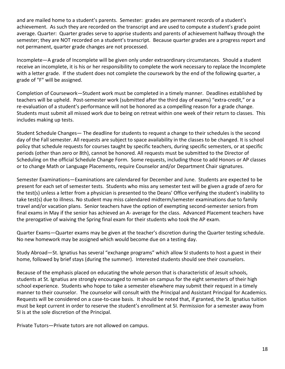and are mailed home to a student's parents. Semester: grades are permanent records of a student's achievement. As such they are recorded on the transcript and are used to compute a student's grade point average. Quarter: Quarter grades serve to apprise students and parents of achievement halfway through the semester; they are NOT recorded on a student's transcript. Because quarter grades are a progress report and not permanent, quarter grade changes are not processed.

Incomplete—A grade of Incomplete will be given only under extraordinary circumstances. Should a student receive an incomplete, it is his or her responsibility to complete the work necessary to replace the Incomplete with a letter grade. If the student does not complete the coursework by the end of the following quarter, a grade of "F" will be assigned.

Completion of Coursework—Student work must be completed in a timely manner. Deadlines established by teachers will be upheld. Post-semester work (submitted after the third day of exams) "extra-credit," or a re-evaluation of a student's performance will not be honored as a compelling reason for a grade change. Students must submit all missed work due to being on retreat within one week of their return to classes. This includes making up tests.

Student Schedule Changes— The deadline for students to request a change to their schedules is the second day of the Fall semester. All requests are subject to space availability in the classes to be changed. It is school policy that schedule requests for courses taught by specific teachers, during specific semesters, or at specific periods (other than zero or 8th), cannot be honored. All requests must be submitted to the Director of Scheduling on the official Schedule Change Form. Some requests, including those to add Honors or AP classes or to change Math or Language Placements, require Counselor and/or Department Chair signatures.

Semester Examinations—Examinations are calendared for December and June. Students are expected to be present for each set of semester tests. Students who miss any semester test will be given a grade of zero for the test(s) unless a letter from a physician is presented to the Deans' Office verifying the student's inability to take test(s) due to illness. No student may miss calendared midterm/semester examinations due to family travel and/or vacation plans. Senior teachers have the option of exempting second-semester seniors from final exams in May if the senior has achieved an A- average for the class. Advanced Placement teachers have the prerogative of waiving the Spring final exam for their students who took the AP exam.

Quarter Exams—Quarter exams may be given at the teacher's discretion during the Quarter testing schedule. No new homework may be assigned which would become due on a testing day.

Study Abroad—St. Ignatius has several "exchange programs" which allow SI students to host a guest in their home, followed by brief stays (during the summer). Interested students should see their counselors.

Because of the emphasis placed on educating the whole person that is characteristic of Jesuit schools, students at St. Ignatius are strongly encouraged to remain on campus for the eight semesters of their high school experience. Students who hope to take a semester elsewhere may submit their request in a timely manner to their counselor. The counselor will consult with the Principal and Assistant Principal for Academics. Requests will be considered on a case-to-case basis. It should be noted that, if granted, the St. Ignatius tuition must be kept current in order to reserve the student's enrollment at SI. Permission for a semester away from SI is at the sole discretion of the Principal.

Private Tutors—Private tutors are not allowed on campus.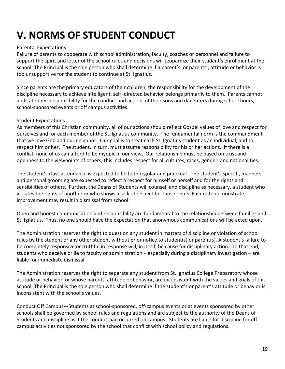# **V. NORMS OF STUDENT CONDUCT**

# Parental Expectations

Failure of parents to cooperate with school administration, faculty, coaches or personnel and failure to support the spirit and letter of the school rules and decisions will jeopardize their student's enrollment at the school. The Principal is the sole person who shall determine if a parent's, or parents', attitude or behavior is too unsupportive for the student to continue at St. Ignatius.

Since parents are the primary educators of their children, the responsibility for the development of the discipline necessary to achieve intelligent, self–directed behavior belongs primarily to them. Parents cannot abdicate their responsibility for the conduct and actions of their sons and daughters during school hours, school-sponsored events or off campus activities.

# Student Expectations

As members of this Christian community, all of our actions should reflect Gospel values of love and respect for ourselves and for each member of the St. Ignatius community. The fundamental norm is the commandment that we love God and our neighbor. Our goal is to treat each St. Ignatius student as an individual, and to respect him or her. The student, in turn, must assume responsibility for his or her actions. If there is a conflict, none of us can afford to be myopic in our view. Our relationship must be based on trust and openness to the viewpoints of others; this includes respect for all cultures, races, gender, and nationalities.

The student's class attendance is expected to be both regular and punctual. The student's speech, manners and personal grooming are expected to reflect a respect for himself or herself and for the rights and sensibilities of others. Further, the Deans of Students will counsel, and discipline as necessary, a student who violates the rights of another or who shows a lack of respect for those rights. Failure to demonstrate improvement may result in dismissal from school.

Open and honest communication and responsibility are fundamental to the relationship between families and St. Ignatius. Thus, no one should have the expectation that anonymous communications will be acted upon.

The Administration reserves the right to question any student in matters of discipline or violation of school rules by the student or any other student without prior notice to student(s) or parent(s). A student's failure to be completely responsive or truthful in response will, in itself, be cause for disciplinary action. To that end, students who deceive or lie to faculty or administration – especially during a disciplinary investigation – are liable for immediate dismissal.

The Administration reserves the right to separate any student from St. Ignatius College Preparatory whose attitude or behavior, or whose parents' attitude or behavior, are inconsistent with the values and goals of this school. The Principal is the sole person who shall determine if the student's or parent's attitude or behavior is inconsistent with the school's values.

Conduct Off Campus—Students at school-sponsored, off-campus events or at events sponsored by other schools shall be governed by school rules and regulations and are subject to the authority of the Deans of Students and discipline as if the conduct had occurred on campus. Students are liable for discipline for off campus activities not sponsored by the school that conflict with school policy and regulations.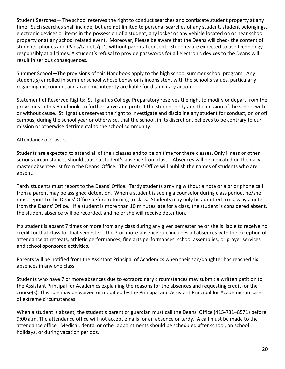Student Searches— The school reserves the right to conduct searches and confiscate student property at any time. Such searches shall include, but are not limited to personal searches of any student, student belongings, electronic devices or items in the possession of a student, any locker or any vehicle located on or near school property or at any school related event. Moreover, Please be aware that the Deans will check the content of students' phones and iPads/tablets/pc's without parental consent. Students are expected to use technology responsibly at all times. A student's refusal to provide passwords for all electronic devices to the Deans will result in serious consequences.

Summer School—The provisions of this Handbook apply to the high school summer school program. Any student(s) enrolled in summer school whose behavior is inconsistent with the school's values, particularly regarding misconduct and academic integrity are liable for disciplinary action.

Statement of Reserved Rights: St. Ignatius College Preparatory reserves the right to modify or depart from the provisions in this Handbook, to further serve and protect the student body and the mission of the school with or without cause. St. Ignatius reserves the right to investigate and discipline any student for conduct, on or off campus, during the school year or otherwise, that the school, in its discretion, believes to be contrary to our mission or otherwise detrimental to the school community.

# Attendance of Classes

Students are expected to attend all of their classes and to be on time for these classes. Only illness or other serious circumstances should cause a student's absence from class. Absences will be indicated on the daily master absentee list from the Deans' Office. The Deans' Office will publish the names of students who are absent.

Tardy students must report to the Deans' Office. Tardy students arriving without a note or a prior phone call from a parent may be assigned detention. When a student is seeing a counselor during class period, he/she must report to the Deans' Office before returning to class. Students may only be admitted to class by a note from the Deans' Office. If a student is more than 10 minutes late for a class, the student is considered absent, the student absence will be recorded, and he or she will receive detention.

If a student is absent 7 times or more from any class during any given semester he or she is liable to receive no credit for that class for that semester. The 7-or-more-absence rule includes all absences with the exception of attendance at retreats, athletic performances, fine arts performances, school assemblies, or prayer services and school-sponsored activities.

Parents will be notified from the Assistant Principal of Academics when their son/daughter has reached six absences in any one class.

Students who have 7 or more absences due to extraordinary circumstances may submit a written petition to the Assistant Principal for Academics explaining the reasons for the absences and requesting credit for the course(s). This rule may be waived or modified by the Principal and Assistant Principal for Academics in cases of extreme circumstances.

When a student is absent, the student's parent or guardian must call the Deans' Office (415-731–8571) before 9:00 a.m. The attendance office will not accept emails for an absence or tardy. A call must be made to the attendance office. Medical, dental or other appointments should be scheduled after school, on school holidays, or during vacation periods.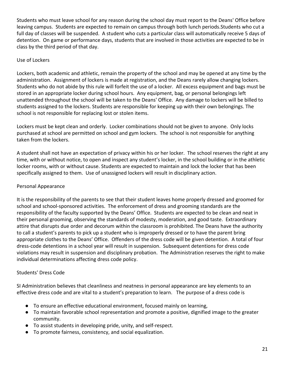Students who must leave school for any reason during the school day must report to the Deans' Office before leaving campus. Students are expected to remain on campus through both lunch periods.Students who cut a full day of classes will be suspended. A student who cuts a particular class will automatically receive 5 days of detention. On game or performance days, students that are involved in those activities are expected to be in class by the third period of that day.

# Use of Lockers

Lockers, both academic and athletic, remain the property of the school and may be opened at any time by the administration. Assignment of lockers is made at registration, and the Deans rarely allow changing lockers. Students who do not abide by this rule will forfeit the use of a locker. All excess equipment and bags must be stored in an appropriate locker during school hours. Any equipment, bag, or personal belongings left unattended throughout the school will be taken to the Deans' Office. Any damage to lockers will be billed to students assigned to the lockers. Students are responsible for keeping up with their own belongings. The school is not responsible for replacing lost or stolen items.

Lockers must be kept clean and orderly. Locker combinations should not be given to anyone. Only locks purchased at school are permitted on school and gym lockers. The school is not responsible for anything taken from the lockers.

A student shall not have an expectation of privacy within his or her locker. The school reserves the right at any time, with or without notice, to open and inspect any student's locker, in the school building or in the athletic locker rooms, with or without cause. Students are expected to maintain and lock the locker that has been specifically assigned to them. Use of unassigned lockers will result in disciplinary action.

# Personal Appearance

It is the responsibility of the parents to see that their student leaves home properly dressed and groomed for school and school-sponsored activities. The enforcement of dress and grooming standards are the responsibility of the faculty supported by the Deans' Office. Students are expected to be clean and neat in their personal grooming, observing the standards of modesty, moderation, and good taste. Extraordinary attire that disrupts due order and decorum within the classroom is prohibited. The Deans have the authority to call a student's parents to pick up a student who is improperly dressed or to have the parent bring appropriate clothes to the Deans' Office. Offenders of the dress code will be given detention. A total of four dress-code detentions in a school year will result in suspension. Subsequent detentions for dress code violations may result in suspension and disciplinary probation. The Administration reserves the right to make individual determinations affecting dress code policy.

# Students' Dress Code

SI Administration believes that cleanliness and neatness in personal appearance are key elements to an effective dress code and are vital to a student's preparation to learn. The purpose of a dress code is

- To ensure an effective educational environment, focused mainly on learning,
- To maintain favorable school representation and promote a positive, dignified image to the greater community.
- To assist students in developing pride, unity, and self-respect.
- To promote fairness, consistency, and social equalization.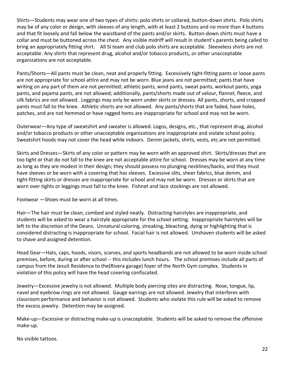Shirts—Students may wear one of two types of shirts: polo shirts or collared, button-down shirts. Polo shirts may be of any color or design, with sleeves of any length, with at least 2 buttons and no more than 4 buttons and that fit loosely and fall below the waistband of the pants and/or skirts. Button-down shirts must have a collar and must be buttoned across the chest. Any visible midriff will result in student's parents being called to bring an appropriately fitting shirt. All SI team and club polo shirts are acceptable. Sleeveless shirts are not acceptable. Any shirts that represent drug, alcohol and/or tobacco products, or other unacceptable organizations are not acceptable.

Pants/Shorts—All pants must be clean, neat and properly fitting. Excessively tight-fitting pants or loose pants are not appropriate for school attire and may not be worn. Blue jeans are not permitted; pants that have writing on any part of them are not permitted; athletic pants, wind pants, sweat pants, workout pants, yoga pants, and pajama pants, are not allowed; additionally, pants/shorts made out of velour, flannel, fleece, and silk fabrics are not allowed. Leggings may only be worn under skirts or dresses. All pants, shorts, and cropped pants must fall to the knee. Athletic shorts are not allowed. Any pants/shorts that are faded, have holes, patches, and are not hemmed or have ragged hems are inappropriate for school and may not be worn.

Outerwear—Any type of sweatshirt and sweater is allowed. Logos, designs, etc., that represent drug, alcohol and/or tobacco products or other unacceptable organizations are inappropriate and violate school policy. Sweatshirt hoods may not cover the head while indoors. Denim jackets, shirts, vests, etc.are not permitted.

Skirts and Dresses—Skirts of any color or pattern may be worn with an approved shirt. Skirts/dresses that are too tight or that do not fall to the knee are not acceptable attire for school. Dresses may be worn at any time as long as they are modest in their design; they should possess no plunging necklines/backs, and they must have sleeves or be worn with a covering that has sleeves. Excessive slits, sheer fabrics, blue denim, and tight-fitting skirts or dresses are inappropriate for school and may not be worn. Dresses or skirts that are worn over tights or leggings must fall to the knee. Fishnet and lace stockings are not allowed.

Footwear —Shoes must be worn at all times.

Hair—The hair must be clean, combed and styled neatly. Distracting hairstyles are inappropriate, and students will be asked to wear a hairstyle appropriate for the school setting. Inappropriate hairstyles will be left to the discretion of the Deans. Unnatural coloring, streaking, bleaching, dying or highlighting that is considered distracting is inappropriate for school. Facial hair is not allowed. Unshaven students will be asked to shave and assigned detention.

Head Gear—Hats, caps, hoods, visors, scarves, and sports headbands are not allowed to be worn inside school premises, before, during or after school -- this includes lunch hours. The school premises include all parts of campus from the Jesuit Residence to the(Rivera garage) foyer of the North Gym complex. Students in violation of this policy will have the head covering confiscated.

Jewelry—Excessive jewelry is not allowed. Multiple body piercing sites are distracting. Nose, tongue, lip, navel and eyebrow rings are not allowed. Gauge earrings are not allowed. Jewelry that interferes with classroom performance and behavior is not allowed. Students who violate this rule will be asked to remove the excess jewelry. Detention may be assigned.

Make-up—Excessive or distracting make-up is unacceptable. Students will be asked to remove the offensive make-up.

No visible tattoos.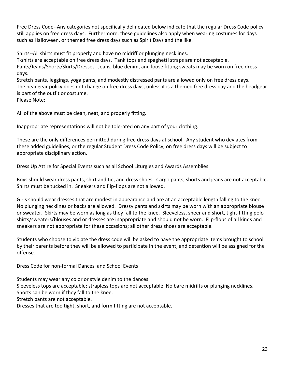Free Dress Code--Any categories not specifically delineated below indicate that the regular Dress Code policy still applies on free dress days. Furthermore, these guidelines also apply when wearing costumes for days such as Halloween, or themed free dress days such as Spirit Days and the like.

Shirts--All shirts must fit properly and have no midriff or plunging necklines.

T-shirts are acceptable on free dress days. Tank tops and spaghetti straps are not acceptable. Pants/Jeans/Shorts/Skirts/Dresses--Jeans, blue denim, and loose fitting sweats may be worn on free dress days.

Stretch pants, leggings, yoga pants, and modestly distressed pants are allowed only on free dress days. The headgear policy does not change on free dress days, unless it is a themed free dress day and the headgear is part of the outfit or costume.

Please Note:

All of the above must be clean, neat, and properly fitting.

Inappropriate representations will not be tolerated on any part of your clothing.

These are the only differences permitted during free dress days at school. Any student who deviates from these added guidelines, or the regular Student Dress Code Policy, on free dress days will be subject to appropriate disciplinary action.

Dress Up Attire for Special Events such as all School Liturgies and Awards Assemblies

Boys should wear dress pants, shirt and tie, and dress shoes. Cargo pants, shorts and jeans are not acceptable. Shirts must be tucked in. Sneakers and flip-flops are not allowed.

Girls should wear dresses that are modest in appearance and are at an acceptable length falling to the knee. No plunging necklines or backs are allowed. Dressy pants and skirts may be worn with an appropriate blouse or sweater. Skirts may be worn as long as they fall to the knee. Sleeveless, sheer and short, tight-fitting polo shirts/sweaters/blouses and or dresses are inappropriate and should not be worn. Flip-flops of all kinds and sneakers are not appropriate for these occasions; all other dress shoes are acceptable.

Students who choose to violate the dress code will be asked to have the appropriate items brought to school by their parents before they will be allowed to participate in the event, and detention will be assigned for the offense.

Dress Code for non-formal Dances and School Events

Students may wear any color or style denim to the dances.

Sleeveless tops are acceptable; strapless tops are not acceptable. No bare midriffs or plunging necklines.

Shorts can be worn if they fall to the knee.

Stretch pants are not acceptable.

Dresses that are too tight, short, and form fitting are not acceptable.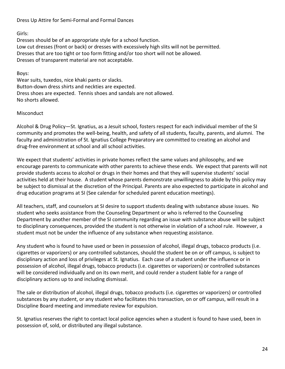Dress Up Attire for Semi-Formal and Formal Dances

Girls:

Dresses should be of an appropriate style for a school function. Low cut dresses (front or back) or dresses with excessively high slits will not be permitted. Dresses that are too tight or too form fitting and/or too short will not be allowed. Dresses of transparent material are not acceptable.

Boys:

Wear suits, tuxedos, nice khaki pants or slacks. Button-down dress shirts and neckties are expected. Dress shoes are expected. Tennis shoes and sandals are not allowed. No shorts allowed.

# Misconduct

Alcohol & Drug Policy—St. Ignatius, as a Jesuit school, fosters respect for each individual member of the SI community and promotes the well-being, health, and safety of all students, faculty, parents, and alumni. The faculty and administration of St. Ignatius College Preparatory are committed to creating an alcohol and drug-free environment at school and all school activities.

We expect that students' activities in private homes reflect the same values and philosophy, and we encourage parents to communicate with other parents to achieve these ends. We expect that parents will not provide students access to alcohol or drugs in their homes and that they will supervise students' social activities held at their house. A student whose parents demonstrate unwillingness to abide by this policy may be subject to dismissal at the discretion of the Principal. Parents are also expected to participate in alcohol and drug education programs at SI (See calendar for scheduled parent education meetings).

All teachers, staff, and counselors at SI desire to support students dealing with substance abuse issues. No student who seeks assistance from the Counseling Department or who is referred to the Counseling Department by another member of the SI community regarding an issue with substance abuse will be subject to disciplinary consequences, provided the student is not otherwise in violation of a school rule. However, a student must not be under the influence of any substance when requesting assistance.

Any student who is found to have used or been in possession of alcohol, illegal drugs, tobacco products (i.e. cigarettes or vaporizers) or any controlled substances, should the student be on or off campus, is subject to disciplinary action and loss of privileges at St. Ignatius. Each case of a student under the influence or in possession of alcohol, illegal drugs, tobacco products (i.e. cigarettes or vaporizers) or controlled substances will be considered individually and on its own merit, and could render a student liable for a range of disciplinary actions up to and including dismissal.

The sale or distribution of alcohol, illegal drugs, tobacco products (i.e. cigarettes or vaporizers) or controlled substances by any student, or any student who facilitates this transaction, on or off campus, will result in a Discipline Board meeting and immediate review for expulsion.

St. Ignatius reserves the right to contact local police agencies when a student is found to have used, been in possession of, sold, or distributed any illegal substance.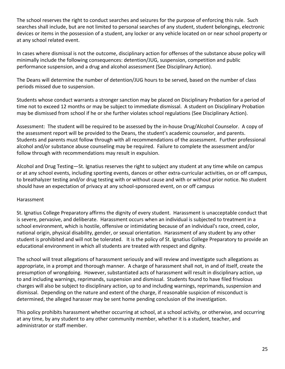The school reserves the right to conduct searches and seizures for the purpose of enforcing this rule. Such searches shall include, but are not limited to personal searches of any student, student belongings, electronic devices or items in the possession of a student, any locker or any vehicle located on or near school property or at any school related event.

In cases where dismissal is not the outcome, disciplinary action for offenses of the substance abuse policy will minimally include the following consequences: detention/JUG, suspension, competition and public performance suspension, and a drug and alcohol assessment (See Disciplinary Action).

The Deans will determine the number of detention/JUG hours to be served, based on the number of class periods missed due to suspension.

Students whose conduct warrants a stronger sanction may be placed on Disciplinary Probation for a period of time not to exceed 12 months or may be subject to immediate dismissal. A student on Disciplinary Probation may be dismissed from school if he or she further violates school regulations (See Disciplinary Action).

Assessment: The student will be required to be assessed by the in-house Drug/Alcohol Counselor. A copy of the assessment report will be provided to the Deans, the student's academic counselor, and parents. Students and parents must follow through with all recommendations of the assessment. Further professional alcohol and/or substance abuse counseling may be required. Failure to complete the assessment and/or follow through with recommendations may result in expulsion.

Alcohol and Drug Testing—St. Ignatius reserves the right to subject any student at any time while on campus or at any school events, including sporting events, dances or other extra-curricular activities, on or off campus, to breathalyzer testing and/or drug testing with or without cause and with or without prior notice. No student should have an expectation of privacy at any school-sponsored event, on or off campus

# Harassment

St. Ignatius College Preparatory affirms the dignity of every student. Harassment is unacceptable conduct that is severe, pervasive, and deliberate. Harassment occurs when an individual is subjected to treatment in a school environment, which is hostile, offensive or intimidating because of an individual's race, creed, color, national origin, physical disability, gender, or sexual orientation. Harassment of any student by any other student is prohibited and will not be tolerated. It is the policy of St. Ignatius College Preparatory to provide an educational environment in which all students are treated with respect and dignity.

The school will treat allegations of harassment seriously and will review and investigate such allegations as appropriate, in a prompt and thorough manner. A charge of harassment shall not, in and of itself, create the presumption of wrongdoing. However, substantiated acts of harassment will result in disciplinary action, up to and including warnings, reprimands, suspension and dismissal. Students found to have filed frivolous charges will also be subject to disciplinary action, up to and including warnings, reprimands, suspension and dismissal. Depending on the nature and extent of the charge, if reasonable suspicion of misconduct is determined, the alleged harasser may be sent home pending conclusion of the investigation.

This policy prohibits harassment whether occurring at school, at a school activity, or otherwise, and occurring at any time, by any student to any other community member, whether it is a student, teacher, and administrator or staff member.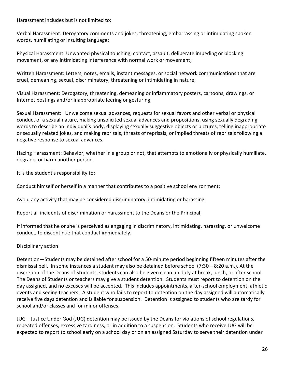Harassment includes but is not limited to:

Verbal Harassment: Derogatory comments and jokes; threatening, embarrassing or intimidating spoken words, humiliating or insulting language;

Physical Harassment: Unwanted physical touching, contact, assault, deliberate impeding or blocking movement, or any intimidating interference with normal work or movement;

Written Harassment: Letters, notes, emails, instant messages, or social network communications that are cruel, demeaning, sexual, discriminatory, threatening or intimidating in nature;

Visual Harassment: Derogatory, threatening, demeaning or inflammatory posters, cartoons, drawings, or Internet postings and/or inappropriate leering or gesturing;

Sexual Harassment: Unwelcome sexual advances, requests for sexual favors and other verbal or physical conduct of a sexual nature, making unsolicited sexual advances and propositions, using sexually degrading words to describe an individual's body, displaying sexually suggestive objects or pictures, telling inappropriate or sexually related jokes, and making reprisals, threats of reprisals, or implied threats of reprisals following a negative response to sexual advances.

Hazing Harassment: Behavior, whether in a group or not, that attempts to emotionally or physically humiliate, degrade, or harm another person.

It is the student's responsibility to:

Conduct himself or herself in a manner that contributes to a positive school environment;

Avoid any activity that may be considered discriminatory, intimidating or harassing;

Report all incidents of discrimination or harassment to the Deans or the Principal;

If informed that he or she is perceived as engaging in discriminatory, intimidating, harassing, or unwelcome conduct, to discontinue that conduct immediately.

# Disciplinary action

Detention—Students may be detained after school for a 50-minute period beginning fifteen minutes after the dismissal bell. In some instances a student may also be detained before school (7:30 – 8:20 a.m.). At the discretion of the Deans of Students, students can also be given clean up duty at break, lunch, or after school. The Deans of Students or teachers may give a student detention. Students must report to detention on the day assigned, and no excuses will be accepted. This includes appointments, after-school employment, athletic events and seeing teachers. A student who fails to report to detention on the day assigned will automatically receive five days detention and is liable for suspension. Detention is assigned to students who are tardy for school and/or classes and for minor offenses.

JUG—Justice Under God (JUG) detention may be issued by the Deans for violations of school regulations, repeated offenses, excessive tardiness, or in addition to a suspension. Students who receive JUG will be expected to report to school early on a school day or on an assigned Saturday to serve their detention under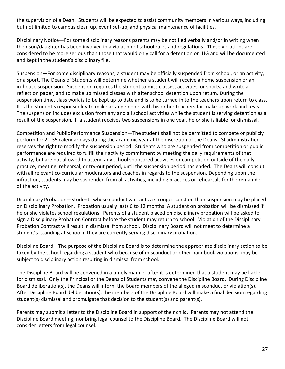the supervision of a Dean. Students will be expected to assist community members in various ways, including but not limited to campus clean up, event set-up, and physical maintenance of facilities.

Disciplinary Notice—For some disciplinary reasons parents may be notified verbally and/or in writing when their son/daughter has been involved in a violation of school rules and regulations. These violations are considered to be more serious than those that would only call for a detention or JUG and will be documented and kept in the student's disciplinary file.

Suspension—For some disciplinary reasons, a student may be officially suspended from school, or an activity, or a sport. The Deans of Students will determine whether a student will receive a home suspension or an in-house suspension. Suspension requires the student to miss classes, activities, or sports, and write a reflection paper, and to make up missed classes with after school detention upon return. During the suspension time, class work is to be kept up to date and is to be turned in to the teachers upon return to class. It is the student's responsibility to make arrangements with his or her teachers for make-up work and tests. The suspension includes exclusion from any and all school activities while the student is serving detention as a result of the suspension. If a student receives two suspensions in one year, he or she is liable for dismissal.

Competition and Public Performance Suspension—The student shall not be permitted to compete or publicly perform for 21-35 calendar days during the academic year at the discretion of the Deans. SI administration reserves the right to modify the suspension period. Students who are suspended from competition or public performance are required to fulfill their activity commitment by meeting the daily requirements of that activity, but are not allowed to attend any school sponsored activities or competition outside of the daily practice, meeting, rehearsal, or try-out period, until the suspension period has ended. The Deans will consult with all relevant co-curricular moderators and coaches in regards to the suspension. Depending upon the infraction, students may be suspended from all activities, including practices or rehearsals for the remainder of the activity.

Disciplinary Probation—Students whose conduct warrants a stronger sanction than suspension may be placed on Disciplinary Probation. Probation usually lasts 6 to 12 months. A student on probation will be dismissed if he or she violates school regulations. Parents of a student placed on disciplinary probation will be asked to sign a Disciplinary Probation Contract before the student may return to school. Violation of the Disciplinary Probation Contract will result in dismissal from school. Disciplinary Board will not meet to determine a student's standing at school if they are currently serving disciplinary probation.

Discipline Board—The purpose of the Discipline Board is to determine the appropriate disciplinary action to be taken by the school regarding a student who because of misconduct or other handbook violations, may be subject to disciplinary action resulting in dismissal from school.

The Discipline Board will be convened in a timely manner after it is determined that a student may be liable for dismissal. Only the Principal or the Deans of Students may convene the Discipline Board. During Discipline Board deliberation(s), the Deans will inform the Board members of the alleged misconduct or violation(s). After Discipline Board deliberation(s), the members of the Discipline Board will make a final decision regarding student(s) dismissal and promulgate that decision to the student(s) and parent(s).

Parents may submit a letter to the Discipline Board in support of their child. Parents may not attend the Discipline Board meeting, nor bring legal counsel to the Discipline Board. The Discipline Board will not consider letters from legal counsel.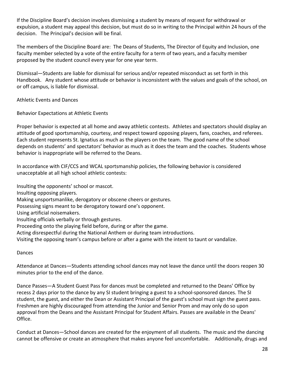If the Discipline Board's decision involves dismissing a student by means of request for withdrawal or expulsion, a student may appeal this decision, but must do so in writing to the Principal within 24 hours of the decision. The Principal's decision will be final.

The members of the Discipline Board are: The Deans of Students, The Director of Equity and Inclusion, one faculty member selected by a vote of the entire faculty for a term of two years, and a faculty member proposed by the student council every year for one year term.

Dismissal—Students are liable for dismissal for serious and/or repeated misconduct as set forth in this Handbook. Any student whose attitude or behavior is inconsistent with the values and goals of the school, on or off campus, is liable for dismissal.

Athletic Events and Dances

Behavior Expectations at Athletic Events

Proper behavior is expected at all home and away athletic contests. Athletes and spectators should display an attitude of good sportsmanship, courtesy, and respect toward opposing players, fans, coaches, and referees. Each student represents St. Ignatius as much as the players on the team. The good name of the school depends on students' and spectators' behavior as much as it does the team and the coaches. Students whose behavior is inappropriate will be referred to the Deans.

In accordance with CIF/CCS and WCAL sportsmanship policies, the following behavior is considered unacceptable at all high school athletic contests:

Insulting the opponents' school or mascot.

Insulting opposing players.

Making unsportsmanlike, derogatory or obscene cheers or gestures.

Possessing signs meant to be derogatory toward one's opponent.

Using artificial noisemakers.

Insulting officials verbally or through gestures.

Proceeding onto the playing field before, during or after the game.

Acting disrespectful during the National Anthem or during team introductions.

Visiting the opposing team's campus before or after a game with the intent to taunt or vandalize.

# Dances

Attendance at Dances—Students attending school dances may not leave the dance until the doors reopen 30 minutes prior to the end of the dance.

Dance Passes—A Student Guest Pass for dances must be completed and returned to the Deans' Office by recess 2 days prior to the dance by any SI student bringing a guest to a school-sponsored dances. The SI student, the guest, and either the Dean or Assistant Principal of the guest's school must sign the guest pass. Freshmen are highly discouraged from attending the Junior and Senior Prom and may only do so upon approval from the Deans and the Assistant Principal for Student Affairs. Passes are available in the Deans' Office.

Conduct at Dances—School dances are created for the enjoyment of all students. The music and the dancing cannot be offensive or create an atmosphere that makes anyone feel uncomfortable. Additionally, drugs and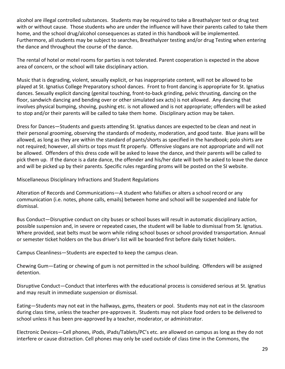alcohol are illegal controlled substances. Students may be required to take a Breathalyzer test or drug test with or without cause. Those students who are under the influence will have their parents called to take them home, and the school drug/alcohol consequences as stated in this handbook will be implemented. Furthermore, all students may be subject to searches, Breathalyzer testing and/or drug Testing when entering the dance and throughout the course of the dance.

The rental of hotel or motel rooms for parties is not tolerated. Parent cooperation is expected in the above area of concern, or the school will take disciplinary action.

Music that is degrading, violent, sexually explicit, or has inappropriate content, will not be allowed to be played at St. Ignatius College Preparatory school dances. Front to front dancing is appropriate for St. Ignatius dances. Sexually explicit dancing (genital touching, front-to-back grinding, pelvic thrusting, dancing on the floor, sandwich dancing and bending over or other simulated sex acts) is not allowed. Any dancing that involves physical bumping, shoving, pushing etc. is not allowed and is not appropriate; offenders will be asked to stop and/or their parents will be called to take them home. Disciplinary action may be taken.

Dress for Dances—Students and guests attending St. Ignatius dances are expected to be clean and neat in their personal grooming, observing the standards of modesty, moderation, and good taste. Blue jeans will be allowed, as long as they are within the standard of pants/shorts as specified in the handbook; polo shirts are not required; however, all shirts or tops must fit properly. Offensive slogans are not appropriate and will not be allowed. Offenders of this dress code will be asked to leave the dance, and their parents will be called to pick them up. If the dance is a date dance, the offender and his/her date will both be asked to leave the dance and will be picked up by their parents. Specific rules regarding proms will be posted on the SI website.

Miscellaneous Disciplinary Infractions and Student Regulations

Alteration of Records and Communications—A student who falsifies or alters a school record or any communication (i.e. notes, phone calls, emails) between home and school will be suspended and liable for dismissal.

Bus Conduct—Disruptive conduct on city buses or school buses will result in automatic disciplinary action, possible suspension and, in severe or repeated cases, the student will be liable to dismissal from St. Ignatius. Where provided, seat belts must be worn while riding school buses or school provided transportation. Annual or semester ticket holders on the bus driver's list will be boarded first before daily ticket holders.

Campus Cleanliness—Students are expected to keep the campus clean.

Chewing Gum—Eating or chewing of gum is not permitted in the school building. Offenders will be assigned detention.

Disruptive Conduct—Conduct that interferes with the educational process is considered serious at St. Ignatius and may result in immediate suspension or dismissal.

Eating—Students may not eat in the hallways, gyms, theaters or pool. Students may not eat in the classroom during class time, unless the teacher pre-approves it. Students may not place food orders to be delivered to school unless it has been pre-approved by a teacher, moderator, or administrator.

Electronic Devices—Cell phones, iPods, iPads/Tablets/PC's etc. are allowed on campus as long as they do not interfere or cause distraction. Cell phones may only be used outside of class time in the Commons, the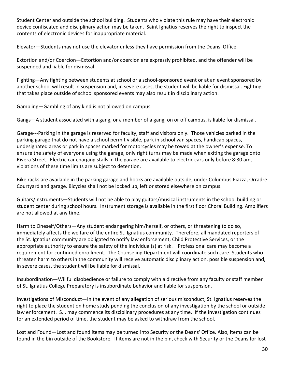Student Center and outside the school building. Students who violate this rule may have their electronic device confiscated and disciplinary action may be taken. Saint Ignatius reserves the right to inspect the contents of electronic devices for inappropriate material.

Elevator—Students may not use the elevator unless they have permission from the Deans' Office.

Extortion and/or Coercion—Extortion and/or coercion are expressly prohibited, and the offender will be suspended and liable for dismissal.

Fighting—Any fighting between students at school or a school-sponsored event or at an event sponsored by another school will result in suspension and, in severe cases, the student will be liable for dismissal. Fighting that takes place outside of school sponsored events may also result in disciplinary action.

Gambling—Gambling of any kind is not allowed on campus.

Gangs—A student associated with a gang, or a member of a gang, on or off campus, is liable for dismissal.

Garage---Parking in the garage is reserved for faculty, staff and visitors only. Those vehicles parked in the parking garage that do not have a school permit visible, park in school van spaces, handicap spaces, undesignated areas or park in spaces marked for motorcycles may be towed at the owner's expense. To ensure the safety of everyone using the garage, only right turns may be made when exiting the garage onto Rivera Street. Electric car charging stalls in the garage are available to electric cars only before 8:30 am, violations of these time limits are subject to detention.

Bike racks are available in the parking garage and hooks are available outside, under Columbus Piazza, Orradre Courtyard and garage. Bicycles shall not be locked up, left or stored elsewhere on campus.

Guitars/Instruments—Students will not be able to play guitars/musical instruments in the school building or student center during school hours. Instrument storage is available in the first floor Choral Building. Amplifiers are not allowed at any time.

Harm to Oneself/Others—Any student endangering him/herself, or others, or threatening to do so, immediately affects the welfare of the entire St. Ignatius community. Therefore, all mandated reporters of the St. Ignatius community are obligated to notify law enforcement, Child Protective Services, or the appropriate authority to ensure the safety of the individual(s) at risk. Professional care may become a requirement for continued enrollment. The Counseling Department will coordinate such care. Students who threaten harm to others in the community will receive automatic disciplinary action, possible suspension and, in severe cases, the student will be liable for dismissal.

Insubordination—Willful disobedience or failure to comply with a directive from any faculty or staff member of St. Ignatius College Preparatory is insubordinate behavior and liable for suspension.

Investigations of Misconduct—In the event of any allegation of serious misconduct, St. Ignatius reserves the right to place the student on home study pending the conclusion of any investigation by the school or outside law enforcement. S.I. may commence its disciplinary procedures at any time. If the investigation continues for an extended period of time, the student may be asked to withdraw from the school.

Lost and Found—Lost and found items may be turned into Security or the Deans' Office. Also, items can be found in the bin outside of the Bookstore. If items are not in the bin, check with Security or the Deans for lost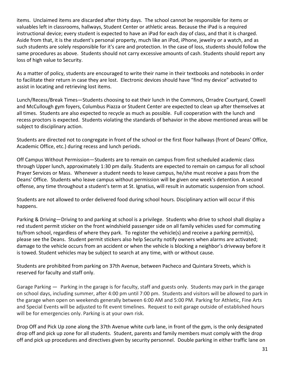items. Unclaimed items are discarded after thirty days. The school cannot be responsible for items or valuables left in classrooms, hallways, Student Center or athletic areas. Because the iPad is a required instructional device; every student is expected to have an iPad for each day of class, and that it is charged. Aside from that, it is the student's personal property, much like an iPod, iPhone, jewelry or a watch, and as such students are solely responsible for it's care and protection. In the case of loss, students should follow the same procedures as above. Students should not carry excessive amounts of cash. Students should report any loss of high value to Security.

As a matter of policy, students are encouraged to write their name in their textbooks and notebooks in order to facilitate their return in case they are lost. Electronic devices should have "find my device" activated to assist in locating and retrieving lost items.

Lunch/Recess/Break Times—Students choosing to eat their lunch in the Commons, Orradre Courtyard, Cowell and McCullough gym foyers, Columbus Piazza or Student Center are expected to clean up after themselves at all times. Students are also expected to recycle as much as possible. Full cooperation with the lunch and recess proctors is expected. Students violating the standards of behavior in the above mentioned areas will be subject to disciplinary action.

Students are directed not to congregate in front of the school or the first floor hallways (front of Deans' Office, Academic Office, etc.) during recess and lunch periods.

Off Campus Without Permission—Students are to remain on campus from first scheduled academic class through Upper lunch, approximately 1:30 pm daily. Students are expected to remain on campus for all school Prayer Services or Mass. Whenever a student needs to leave campus, he/she must receive a pass from the Deans' Office. Students who leave campus without permission will be given one week's detention. A second offense, any time throughout a student's term at St. Ignatius, will result in automatic suspension from school.

Students are not allowed to order delivered food during school hours. Disciplinary action will occur if this happens.

Parking & Driving—Driving to and parking at school is a privilege. Students who drive to school shall display a red student permit sticker on the front windshield passenger side on all family vehicles used for commuting to/from school, regardless of where they park. To register the vehicle(s) and receive a parking permit(s), please see the Deans. Student permit stickers also help Security notify owners when alarms are activated; damage to the vehicle occurs from an accident or when the vehicle is blocking a neighbor's driveway before it is towed. Student vehicles may be subject to search at any time, with or without cause.

Students are prohibited from parking on 37th Avenue, between Pacheco and Quintara Streets, which is reserved for faculty and staff only.

Garage Parking — Parking in the garage is for faculty, staff and guests only. Students may park in the garage on school days, including summer, after 4:00 pm until 7:00 pm. Students and visitors will be allowed to park in the garage when open on weekends generally between 6:00 AM and 5:00 PM. Parking for Athletic, Fine Arts and Special Events will be adjusted to fit event timelines. Request to exit garage outside of established hours will be for emergencies only. Parking is at your own risk.

Drop Off and Pick Up zone along the 37th Avenue white curb lane, in front of the gym, is the only designated drop off and pick up zone for all students. Student, parents and family members must comply with the drop off and pick up procedures and directives given by security personnel. Double parking in either traffic lane on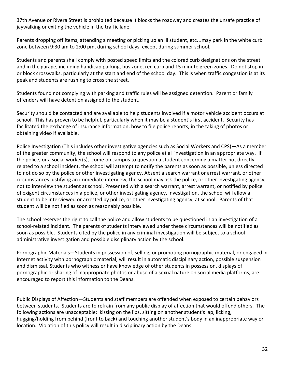37th Avenue or Rivera Street is prohibited because it blocks the roadway and creates the unsafe practice of jaywalking or exiting the vehicle in the traffic lane.

Parents dropping off items, attending a meeting or picking up an ill student, etc…may park in the white curb zone between 9:30 am to 2:00 pm, during school days, except during summer school.

Students and parents shall comply with posted speed limits and the colored curb designations on the street and in the garage, including handicap parking, bus zone, red curb and 15 minute green zones. Do not stop in or block crosswalks, particularly at the start and end of the school day. This is when traffic congestion is at its peak and students are rushing to cross the street.

Students found not complying with parking and traffic rules will be assigned detention. Parent or family offenders will have detention assigned to the student.

Security should be contacted and are available to help students involved if a motor vehicle accident occurs at school. This has proven to be helpful, particularly when it may be a student's first accident. Security has facilitated the exchange of insurance information, how to file police reports, in the taking of photos or obtaining video if available.

Police Investigation (This includes other investigative agencies such as Social Workers and CPS)—As a member of the greater community, the school will respond to any police et al investigation in an appropriate way. If the police, or a social worker(s), come on campus to question a student concerning a matter not directly related to a school incident, the school will attempt to notify the parents as soon as possible, unless directed to not do so by the police or other investigating agency. Absent a search warrant or arrest warrant, or other circumstances justifying an immediate interview, the school may ask the police, or other investigating agency, not to interview the student at school. Presented with a search warrant, arrest warrant, or notified by police of exigent circumstances in a police, or other investigating agency, investigation, the school will allow a student to be interviewed or arrested by police, or other investigating agency, at school. Parents of that student will be notified as soon as reasonably possible.

The school reserves the right to call the police and allow students to be questioned in an investigation of a school-related incident. The parents of students interviewed under these circumstances will be notified as soon as possible. Students cited by the police in any criminal investigation will be subject to a school administrative investigation and possible disciplinary action by the school.

Pornographic Materials—Students in possession of, selling, or promoting pornographic material, or engaged in Internet activity with pornographic material, will result in automatic disciplinary action, possible suspension and dismissal. Students who witness or have knowledge of other students in possession, displays of pornographic or sharing of inappropriate photos or abuse of a sexual nature on social media platforms, are encouraged to report this information to the Deans.

Public Displays of Affection—Students and staff members are offended when exposed to certain behaviors between students. Students are to refrain from any public display of affection that would offend others. The following actions are unacceptable: kissing on the lips, sitting on another student's lap, licking, hugging/holding from behind (front to back) and touching another student's body in an inappropriate way or location. Violation of this policy will result in disciplinary action by the Deans.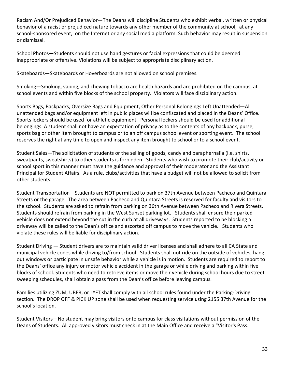Racism And/Or Prejudiced Behavior—The Deans will discipline Students who exhibit verbal, written or physical behavior of a racist or prejudiced nature towards any other member of the community at school, at any school-sponsored event, on the Internet or any social media platform. Such behavior may result in suspension or dismissal.

School Photos—Students should not use hand gestures or facial expressions that could be deemed inappropriate or offensive. Violations will be subject to appropriate disciplinary action.

Skateboards—Skateboards or Hoverboards are not allowed on school premises.

Smoking—Smoking, vaping, and chewing tobacco are health hazards and are prohibited on the campus, at school events and within five blocks of the school property. Violators will face disciplinary action.

Sports Bags, Backpacks, Oversize Bags and Equipment, Other Personal Belongings Left Unattended—All unattended bags and/or equipment left in public places will be confiscated and placed in the Deans' Office. Sports lockers should be used for athletic equipment. Personal lockers should be used for additional belongings. A student shall not have an expectation of privacy as to the contents of any backpack, purse, sports bag or other item brought to campus or to an off campus school event or sporting event. The school reserves the right at any time to open and inspect any item brought to school or to a school event.

Student Sales—The solicitation of students or the selling of goods, candy and paraphernalia (i.e. shirts, sweatpants, sweatshirts) to other students is forbidden. Students who wish to promote their club/activity or school sport in this manner must have the guidance and approval of their moderator and the Assistant Principal for Student Affairs. As a rule, clubs/activities that have a budget will not be allowed to solicit from other students.

Student Transportation—Students are NOT permitted to park on 37th Avenue between Pacheco and Quintara Streets or the garage. The area between Pacheco and Quintara Streets is reserved for faculty and visitors to the school. Students are asked to refrain from parking on 36th Avenue between Pacheco and Rivera Streets. Students should refrain from parking in the West Sunset parking lot. Students shall ensure their parked vehicle does not extend beyond the cut in the curb at all driveways. Students reported to be blocking a driveway will be called to the Dean's office and escorted off campus to move the vehicle. Students who violate these rules will be liable for disciplinary action.

Student Driving — Student drivers are to maintain valid driver licenses and shall adhere to all CA State and municipal vehicle codes while driving to/from school. Students shall not ride on the outside of vehicles, hang out windows or participate in unsafe behavior while a vehicle is in motion. Students are required to report to the Deans' office any injury or motor vehicle accident in the garage or while driving and parking within five blocks of school. Students who need to retrieve items or move their vehicle during school hours due to street sweeping schedules, shall obtain a pass from the Dean's office before leaving campus.

Families utilizing ZUM, UBER, or LYFT shall comply with all school rules found under the Parking-Driving section. The DROP OFF & PICK UP zone shall be used when requesting service using 2155 37th Avenue for the school's location.

Student Visitors—No student may bring visitors onto campus for class visitations without permission of the Deans of Students. All approved visitors must check in at the Main Office and receive a "Visitor's Pass."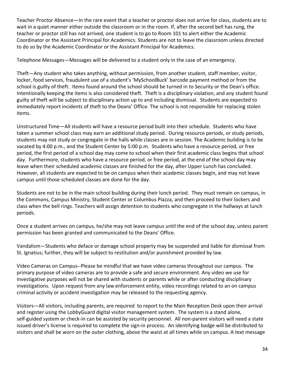Teacher Proctor Absence—In the rare event that a teacher or proctor does not arrive for class, students are to wait in a quiet manner either outside the classroom or in the room. If, after the second bell has rung, the teacher or proctor still has not arrived, one student is to go to Room 101 to alert either the Academic Coordinator or the Assistant Principal for Academics. Students are not to leave the classroom unless directed to do so by the Academic Coordinator or the Assistant Principal for Academics.

Telephone Messages—Messages will be delivered to a student only in the case of an emergency.

Theft—Any student who takes anything, without permission, from another student, staff member, visitor, locker, food services, fraudulent use of a student's 'MySchoolBuck' barcode payment method or from the school is guilty of theft. Items found around the school should be turned in to Security or the Dean's office. Intentionally keeping the items is also considered theft. Theft is a disciplinary violation, and any student found guilty of theft will be subject to disciplinary action up to and including dismissal. Students are expected to immediately report incidents of theft to the Deans' Office. The school is not responsible for replacing stolen items.

Unstructured Time—All students will have a resource period built into their schedule. Students who have taken a summer school class may earn an additional study period. During resource periods, or study periods, students may not study or congregate in the halls while classes are in session. The Academic building is to be vacated by 4:00 p.m., and the Student Center by 5:00 p.m. Students who have a resource period, or free period, the first period of a school day may come to school when their first academic class begins that school day. Furthermore, students who have a resource period, or free period, at the end of the school day may leave when their scheduled academic classes are finished for the day, after Upper Lunch has concluded. However, all students are expected to be on campus when their academic classes begin, and may not leave campus until those scheduled classes are done for the day.

Students are not to be in the main school building during their lunch period. They must remain on campus, in the Commons, Campus Ministry, Student Center or Columbus Piazza, and then proceed to their lockers and class when the bell rings. Teachers will assign detention to students who congregate in the hallways at lunch periods.

Once a student arrives on campus, he/she may not leave campus until the end of the school day, unless parent permission has been granted and communicated to the Deans' Office.

Vandalism—Students who deface or damage school property may be suspended and liable for dismissal from St. Ignatius; further, they will be subject to restitution and/or punishment provided by law.

Video Cameras on Campus--Please be mindful that we have video cameras throughout our campus. The primary purpose of video cameras are to provide a safe and secure environment. Any video we use for investigative purposes will not be shared with students or parents while or after conducting disciplinary investigations. Upon request from any law enforcement entity, video recordings related to an on campus criminal activity or accident investigation may be released to the requesting agency.

Visitors—All visitors, including parents, are required to report to the Main Reception Desk upon their arrival and register using the LobbyGuard digital visitor management system. The system is a stand alone, self-guided system or check-in can be assisted by security personnel. All non-parent visitors will need a state issued driver's license is required to complete the sign-in process. An identifying badge will be distributed to visitors and shall be worn on the outer clothing, above the waist at all times while on campus. A text message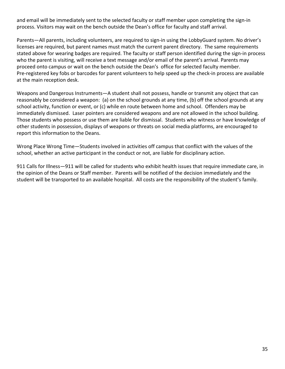and email will be immediately sent to the selected faculty or staff member upon completing the sign-in process. Visitors may wait on the bench outside the Dean's office for faculty and staff arrival.

Parents—All parents, including volunteers, are required to sign-in using the LobbyGuard system. No driver's licenses are required, but parent names must match the current parent directory. The same requirements stated above for wearing badges are required. The faculty or staff person identified during the sign-in process who the parent is visiting, will receive a text message and/or email of the parent's arrival. Parents may proceed onto campus or wait on the bench outside the Dean's office for selected faculty member. Pre-registered key fobs or barcodes for parent volunteers to help speed up the check-in process are available at the main reception desk.

Weapons and Dangerous Instruments—A student shall not possess, handle or transmit any object that can reasonably be considered a weapon: (a) on the school grounds at any time, (b) off the school grounds at any school activity, function or event, or (c) while en route between home and school. Offenders may be immediately dismissed. Laser pointers are considered weapons and are not allowed in the school building. Those students who possess or use them are liable for dismissal. Students who witness or have knowledge of other students in possession, displays of weapons or threats on social media platforms, are encouraged to report this information to the Deans.

Wrong Place Wrong Time—Students involved in activities off campus that conflict with the values of the school, whether an active participant in the conduct or not, are liable for disciplinary action.

911 Calls for Illness—911 will be called for students who exhibit health issues that require immediate care, in the opinion of the Deans or Staff member. Parents will be notified of the decision immediately and the student will be transported to an available hospital. All costs are the responsibility of the student's family.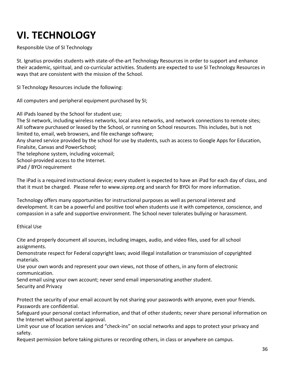# **VI. TECHNOLOGY**

Responsible Use of SI Technology

St. Ignatius provides students with state-of-the-art Technology Resources in order to support and enhance their academic, spiritual, and co-curricular activities. Students are expected to use SI Technology Resources in ways that are consistent with the mission of the School.

SI Technology Resources include the following:

All computers and peripheral equipment purchased by SI;

All iPads loaned by the School for student use;

The SI network, including wireless networks, local area networks, and network connections to remote sites; All software purchased or leased by the School, or running on School resources. This includes, but is not limited to, email, web browsers, and file exchange software;

Any shared service provided by the school for use by students, such as access to Google Apps for Education, Finalsite, Canvas and PowerSchool;

The telephone system, including voicemail;

School-provided access to the Internet.

iPad / BYOi requirement

The iPad is a required instructional device; every student is expected to have an iPad for each day of class, and that it must be charged. Please refer to www.siprep.org and search for BYOi for more information.

Technology offers many opportunities for instructional purposes as well as personal interest and development. It can be a powerful and positive tool when students use it with competence, conscience, and compassion in a safe and supportive environment. The School never tolerates bullying or harassment.

Ethical Use

Cite and properly document all sources, including images, audio, and video files, used for all school assignments.

Demonstrate respect for Federal copyright laws; avoid illegal installation or transmission of copyrighted materials.

Use your own words and represent your own views, not those of others, in any form of electronic communication.

Send email using your own account; never send email impersonating another student. Security and Privacy

Protect the security of your email account by not sharing your passwords with anyone, even your friends. Passwords are confidential.

Safeguard your personal contact information, and that of other students; never share personal information on the Internet without parental approval.

Limit your use of location services and "check-ins" on social networks and apps to protect your privacy and safety.

Request permission before taking pictures or recording others, in class or anywhere on campus.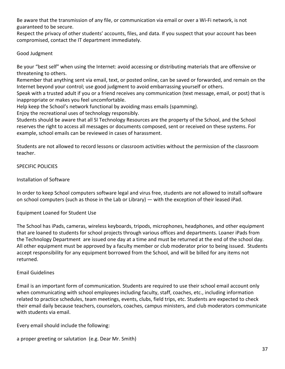Be aware that the transmission of any file, or communication via email or over a Wi-Fi network, is not guaranteed to be secure.

Respect the privacy of other students' accounts, files, and data. If you suspect that your account has been compromised, contact the IT department immediately.

Good Judgment

Be your "best self" when using the Internet: avoid accessing or distributing materials that are offensive or threatening to others.

Remember that anything sent via email, text, or posted online, can be saved or forwarded, and remain on the Internet beyond your control; use good judgment to avoid embarrassing yourself or others.

Speak with a trusted adult if you or a friend receives any communication (text message, email, or post) that is inappropriate or makes you feel uncomfortable.

Help keep the School's network functional by avoiding mass emails (spamming).

Enjoy the recreational uses of technology responsibly.

Students should be aware that all SI Technology Resources are the property of the School, and the School reserves the right to access all messages or documents composed, sent or received on these systems. For example, school emails can be reviewed in cases of harassment.

Students are not allowed to record lessons or classroom activities without the permission of the classroom teacher.

SPECIFIC POLICIES

# Installation of Software

In order to keep School computers software legal and virus free, students are not allowed to install software on school computers (such as those in the Lab or Library) — with the exception of their leased iPad.

# Equipment Loaned for Student Use

The School has iPads, cameras, wireless keyboards, tripods, microphones, headphones, and other equipment that are loaned to students for school projects through various offices and departments. Loaner iPads from the Technology Department are issued one day at a time and must be returned at the end of the school day. All other equipment must be approved by a faculty member or club moderator prior to being issued. Students accept responsibility for any equipment borrowed from the School, and will be billed for any items not returned.

# Email Guidelines

Email is an important form of communication. Students are required to use their school email account only when communicating with school employees including faculty, staff, coaches, etc., including information related to practice schedules, team meetings, events, clubs, field trips, etc. Students are expected to check their email daily because teachers, counselors, coaches, campus ministers, and club moderators communicate with students via email.

Every email should include the following:

a proper greeting or salutation (e.g. Dear Mr. Smith)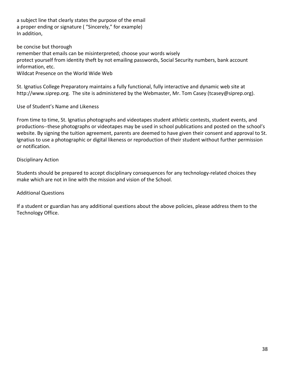a subject line that clearly states the purpose of the email a proper ending or signature ( "Sincerely," for example) In addition,

be concise but thorough remember that emails can be misinterpreted; choose your words wisely protect yourself from identity theft by not emailing passwords, Social Security numbers, bank account information, etc. Wildcat Presence on the World Wide Web

St. Ignatius College Preparatory maintains a fully functional, fully interactive and dynamic web site at http://www.siprep.org. The site is administered by the Webmaster, Mr. Tom Casey (tcasey@siprep.org).

Use of Student's Name and Likeness

From time to time, St. Ignatius photographs and videotapes student athletic contests, student events, and productions--these photographs or videotapes may be used in school publications and posted on the school's website. By signing the tuition agreement, parents are deemed to have given their consent and approval to St. Ignatius to use a photographic or digital likeness or reproduction of their student without further permission or notification.

# Disciplinary Action

Students should be prepared to accept disciplinary consequences for any technology-related choices they make which are not in line with the mission and vision of the School.

# Additional Questions

If a student or guardian has any additional questions about the above policies, please address them to the Technology Office.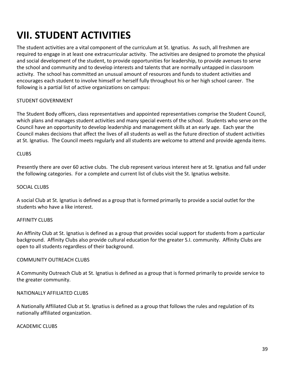# **VII. STUDENT ACTIVITIES**

The student activities are a vital component of the curriculum at St. Ignatius. As such, all freshmen are required to engage in at least one extracurricular activity. The activities are designed to promote the physical and social development of the student, to provide opportunities for leadership, to provide avenues to serve the school and community and to develop interests and talents that are normally untapped in classroom activity. The school has committed an unusual amount of resources and funds to student activities and encourages each student to involve himself or herself fully throughout his or her high school career. The following is a partial list of active organizations on campus:

#### STUDENT GOVERNMENT

The Student Body officers, class representatives and appointed representatives comprise the Student Council, which plans and manages student activities and many special events of the school. Students who serve on the Council have an opportunity to develop leadership and management skills at an early age. Each year the Council makes decisions that affect the lives of all students as well as the future direction of student activities at St. Ignatius. The Council meets regularly and all students are welcome to attend and provide agenda items.

#### **CLUBS**

Presently there are over 60 active clubs. The club represent various interest here at St. Ignatius and fall under the following categories. For a complete and current list of clubs visit the St. Ignatius website.

#### SOCIAL CLUBS

A social Club at St. Ignatius is defined as a group that is formed primarily to provide a social outlet for the students who have a like interest.

#### AFFINITY CLUBS

An Affinity Club at St. Ignatius is defined as a group that provides social support for students from a particular background. Affinity Clubs also provide cultural education for the greater S.I. community. Affinity Clubs are open to all students regardless of their background.

#### COMMUNITY OUTREACH CLUBS

A Community Outreach Club at St. Ignatius is defined as a group that is formed primarily to provide service to the greater community.

#### NATIONALLY AFFILIATED CLUBS

A Nationally Affiliated Club at St. Ignatius is defined as a group that follows the rules and regulation of its nationally affiliated organization.

#### ACADEMIC CLUBS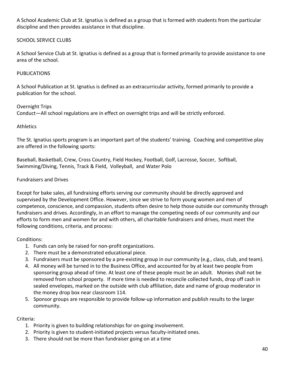A School Academic Club at St. Ignatius is defined as a group that is formed with students from the particular discipline and then provides assistance in that discipline.

# SCHOOL SERVICE CLUBS

A School Service Club at St. Ignatius is defined as a group that is formed primarily to provide assistance to one area of the school.

# PUBLICATIONS

A School Publication at St. Ignatius is defined as an extracurricular activity, formed primarily to provide a publication for the school.

#### Overnight Trips

Conduct—All school regulations are in effect on overnight trips and will be strictly enforced.

#### **Athletics**

The St. Ignatius sports program is an important part of the students' training. Coaching and competitive play are offered in the following sports:

Baseball, Basketball, Crew, Cross Country, Field Hockey, Football, Golf, Lacrosse, Soccer, Softball, Swimming/Diving, Tennis, Track & Field, Volleyball, and Water Polo

# Fundraisers and Drives

Except for bake sales, all fundraising efforts serving our community should be directly approved and supervised by the Development Office. However, since we strive to form young women and men of competence, conscience, and compassion, students often desire to help those outside our community through fundraisers and drives. Accordingly, in an effort to manage the competing needs of our community and our efforts to form men and women for and with others, all charitable fundraisers and drives, must meet the following conditions, criteria, and process:

# Conditions:

- 1. Funds can only be raised for non-profit organizations.
- 2. There must be a demonstrated educational piece.
- 3. Fundraisers must be sponsored by a pre-existing group in our community (e.g., class, club, and team).
- 4. All money will be turned in to the Business Office, and accounted for by at least two people from sponsoring group ahead of time. At least one of these people must be an adult. Monies shall not be removed from school property. If more time is needed to reconcile collected funds, drop off cash in sealed envelopes, marked on the outside with club affiliation, date and name of group moderator in the money drop box near classroom 114.
- 5. Sponsor groups are responsible to provide follow-up information and publish results to the larger community.

# Criteria:

- 1. Priority is given to building relationships for on-going involvement.
- 2. Priority is given to student-initiated projects versus faculty-initiated ones.
- 3. There should not be more than fundraiser going on at a time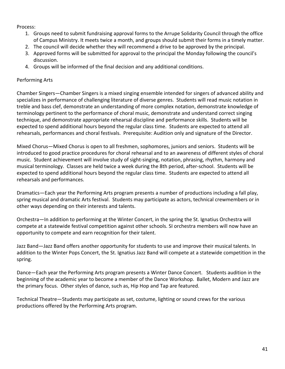#### Process:

- 1. Groups need to submit fundraising approval forms to the Arrupe Solidarity Council through the office of Campus Ministry. It meets twice a month, and groups should submit their forms in a timely matter.
- 2. The council will decide whether they will recommend a drive to be approved by the principal.
- 3. Approved forms will be submitted for approval to the principal the Monday following the council's discussion.
- 4. Groups will be informed of the final decision and any additional conditions.

#### Performing Arts

Chamber Singers—Chamber Singers is a mixed singing ensemble intended for singers of advanced ability and specializes in performance of challenging literature of diverse genres. Students will read music notation in treble and bass clef, demonstrate an understanding of more complex notation, demonstrate knowledge of terminology pertinent to the performance of choral music, demonstrate and understand correct singing technique, and demonstrate appropriate rehearsal discipline and performance skills. Students will be expected to spend additional hours beyond the regular class time. Students are expected to attend all rehearsals, performances and choral festivals. Prerequisite: Audition only and signature of the Director.

Mixed Chorus—Mixed Chorus is open to all freshmen, sophomores, juniors and seniors. Students will be introduced to good practice procedures for choral rehearsal and to an awareness of different styles of choral music. Student achievement will involve study of sight-singing, notation, phrasing, rhythm, harmony and musical terminology. Classes are held twice a week during the 8th period, after-school. Students will be expected to spend additional hours beyond the regular class time. Students are expected to attend all rehearsals and performances.

Dramatics—Each year the Performing Arts program presents a number of productions including a fall play, spring musical and dramatic Arts festival. Students may participate as actors, technical crewmembers or in other ways depending on their interests and talents.

Orchestra—In addition to performing at the Winter Concert, in the spring the St. Ignatius Orchestra will compete at a statewide festival competition against other schools. SI orchestra members will now have an opportunity to compete and earn recognition for their talent.

Jazz Band—Jazz Band offers another opportunity for students to use and improve their musical talents. In addition to the Winter Pops Concert, the St. Ignatius Jazz Band will compete at a statewide competition in the spring.

Dance—Each year the Performing Arts program presents a Winter Dance Concert. Students audition in the beginning of the academic year to become a member of the Dance Workshop. Ballet, Modern and Jazz are the primary focus. Other styles of dance, such as, Hip Hop and Tap are featured.

Technical Theatre—Students may participate as set, costume, lighting or sound crews for the various productions offered by the Performing Arts program.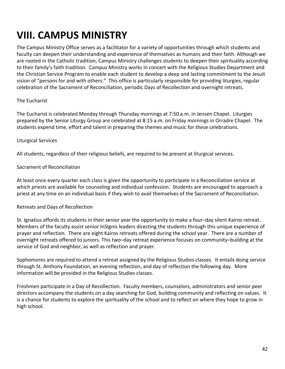# **VIII. CAMPUS MINISTRY**

The Campus Ministry Office serves as a facilitator for a variety of opportunities through which students and faculty can deepen their understanding and experience of themselves as humans and their faith. Although we are rooted in the Catholic tradition, Campus Ministry challenges students to deepen their spirituality according to their family's faith tradition. Campus Ministry works in concert with the Religious Studies Department and the Christian Service Program to enable each student to develop a deep and lasting commitment to the Jesuit vision of "persons for and with others." This office is particularly responsible for providing liturgies, regular celebration of the Sacrament of Reconciliation, periodic Days of Recollection and overnight retreats.

# The Eucharist

The Eucharist is celebrated Monday through Thursday mornings at 7:50 a.m. in Jensen Chapel. Liturgies prepared by the Senior Liturgy Group are celebrated at 8:15 a.m. on Friday mornings in Orradre Chapel. The students expend time, effort and talent in preparing the themes and music for these celebrations.

#### Liturgical Services

All students, regardless of their religious beliefs, are required to be present at liturgical services.

#### Sacrament of Reconciliation

At least once every quarter each class is given the opportunity to participate in a Reconciliation service at which priests are available for counseling and individual confession. Students are encouraged to approach a priest at any time on an individual basis if they wish to avail themselves of the Sacrament of Reconciliation.

# Retreats and Days of Recollection

St. Ignatius affords its students in their senior year the opportunity to make a four–day silent Kairos retreat. Members of the faculty assist senior InSIgnis leaders directing the students through this unique experience of prayer and reflection. There are eight Kairos retreats offered during the school year. There are a number of overnight retreats offered to juniors. This two–day retreat experience focuses on community–building at the service of God and neighbor, as well as reflection and prayer.

Sophomores are required to attend a retreat assigned by the Religious Studies classes. It entails doing service through St. Anthony Foundation, an evening reflection, and day of reflection the following day. More information will be provided in the Religious Studies classes.

Freshmen participate in a Day of Recollection. Faculty members, counselors, administrators and senior peer directors accompany the students on a day searching for God, building community and reflecting on values. It is a chance for students to explore the spirituality of the school and to reflect on where they hope to grow in high school.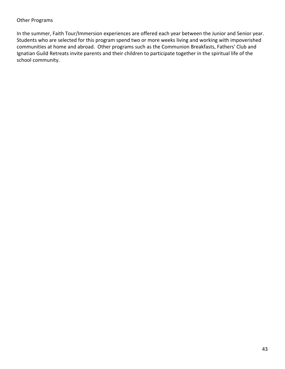#### Other Programs

In the summer, Faith Tour/Immersion experiences are offered each year between the Junior and Senior year. Students who are selected for this program spend two or more weeks living and working with impoverished communities at home and abroad. Other programs such as the Communion Breakfasts, Fathers' Club and Ignatian Guild Retreats invite parents and their children to participate together in the spiritual life of the school community.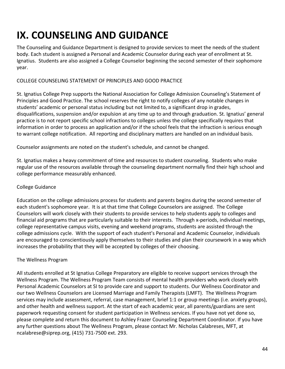# **IX. COUNSELING AND GUIDANCE**

The Counseling and Guidance Department is designed to provide services to meet the needs of the student body. Each student is assigned a Personal and Academic Counselor during each year of enrollment at St. Ignatius. Students are also assigned a College Counselor beginning the second semester of their sophomore year.

# COLLEGE COUNSELING STATEMENT OF PRINCIPLES AND GOOD PRACTICE

St. Ignatius College Prep supports the National Association for College Admission Counseling's Statement of Principles and Good Practice. The school reserves the right to notify colleges of any notable changes in students' academic or personal status including but not limited to, a significant drop in grades, disqualifications, suspension and/or expulsion at any time up to and through graduation. St. Ignatius' general practice is to not report specific school infractions to colleges unless the college specifically requires that information in order to process an application and/or if the school feels that the infraction is serious enough to warrant college notification. All reporting and disciplinary matters are handled on an individual basis.

Counselor assignments are noted on the student's schedule, and cannot be changed.

St. Ignatius makes a heavy commitment of time and resources to student counseling. Students who make regular use of the resources available through the counseling department normally find their high school and college performance measurably enhanced.

# College Guidance

Education on the college admissions process for students and parents begins during the second semester of each student's sophomore year. It is at that time that College Counselors are assigned. The College Counselors will work closely with their students to provide services to help students apply to colleges and financial aid programs that are particularly suitable to their interests. Through x-periods, individual meetings, college representative campus visits, evening and weekend programs, students are assisted through the college admissions cycle. With the support of each student's Personal and Academic Counselor, individuals are encouraged to conscientiously apply themselves to their studies and plan their coursework in a way which increases the probability that they will be accepted by colleges of their choosing.

# The Wellness Program

All students enrolled at St Ignatius College Preparatory are eligible to receive support services through the Wellness Program. The Wellness Program Team consists of mental health providers who work closely with Personal Academic Counselors at SI to provide care and support to students. Our Wellness Coordinator and our two Wellness Counselors are Licensed Marriage and Family Therapists (LMFT). The Wellness Program services may include assessment, referral, case management, brief 1:1 or group meetings (i.e. anxiety groups), and other health and wellness support. At the start of each academic year, all parents/guardians are sent paperwork requesting consent for student participation in Wellness services. If you have not yet done so, please complete and return this document to Ashley Frazer Counseling Department Coordinator. If you have any further questions about The Wellness Program, please contact Mr. Nicholas Calabreses, MFT, at ncalabrese@siprep.org, (415) 731-7500 ext. 293.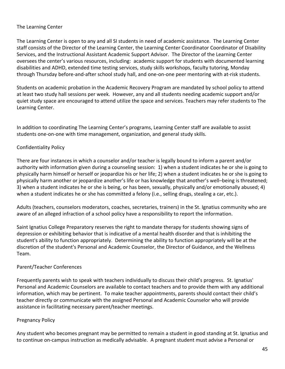# The Learning Center

The Learning Center is open to any and all SI students in need of academic assistance. The Learning Center staff consists of the Director of the Learning Center, the Learning Center Coordinator Coordinator of Disability Services, and the Instructional Assistant Academic Support Advisor. The Director of the Learning Center oversees the center's various resources, including: academic support for students with documented learning disabilities and ADHD, extended time testing services, study skills workshops, faculty tutoring, Monday through Thursday before-and-after school study hall, and one-on-one peer mentoring with at-risk students.

Students on academic probation in the Academic Recovery Program are mandated by school policy to attend at least two study hall sessions per week. However, any and all students needing academic support and/or quiet study space are encouraged to attend utilize the space and services. Teachers may refer students to The Learning Center.

In addition to coordinating The Learning Center's programs, Learning Center staff are available to assist students one-on-one with time management, organization, and general study skills.

# Confidentiality Policy

There are four instances in which a counselor and/or teacher is legally bound to inform a parent and/or authority with information given during a counseling session: 1) when a student indicates he or she is going to physically harm himself or herself or jeopardize his or her life; 2) when a student indicates he or she is going to physically harm another or jeopardize another's life or has knowledge that another's well–being is threatened; 3) when a student indicates he or she is being, or has been, sexually, physically and/or emotionally abused; 4) when a student indicates he or she has committed a felony (i.e., selling drugs, stealing a car, etc.).

Adults (teachers, counselors moderators, coaches, secretaries, trainers) in the St. Ignatius community who are aware of an alleged infraction of a school policy have a responsibility to report the information.

Saint Ignatius College Preparatory reserves the right to mandate therapy for students showing signs of depression or exhibiting behavior that is indicative of a mental health disorder and that is inhibiting the student's ability to function appropriately. Determining the ability to function appropriately will be at the discretion of the student's Personal and Academic Counselor, the Director of Guidance, and the Wellness Team.

# Parent/Teacher Conferences

Frequently parents wish to speak with teachers individually to discuss their child's progress. St. Ignatius' Personal and Academic Counselors are available to contact teachers and to provide them with any additional information, which may be pertinent. To make teacher appointments, parents should contact their child's teacher directly or communicate with the assigned Personal and Academic Counselor who will provide assistance in facilitating necessary parent/teacher meetings.

# Pregnancy Policy

Any student who becomes pregnant may be permitted to remain a student in good standing at St. Ignatius and to continue on-campus instruction as medically advisable. A pregnant student must advise a Personal or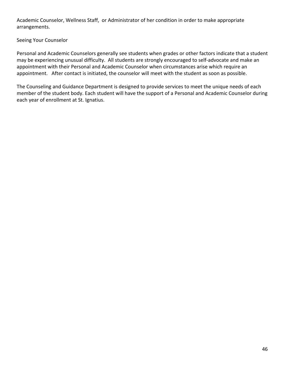Academic Counselor, Wellness Staff, or Administrator of her condition in order to make appropriate arrangements.

# Seeing Your Counselor

Personal and Academic Counselors generally see students when grades or other factors indicate that a student may be experiencing unusual difficulty. All students are strongly encouraged to self-advocate and make an appointment with their Personal and Academic Counselor when circumstances arise which require an appointment. After contact is initiated, the counselor will meet with the student as soon as possible.

The Counseling and Guidance Department is designed to provide services to meet the unique needs of each member of the student body. Each student will have the support of a Personal and Academic Counselor during each year of enrollment at St. Ignatius.